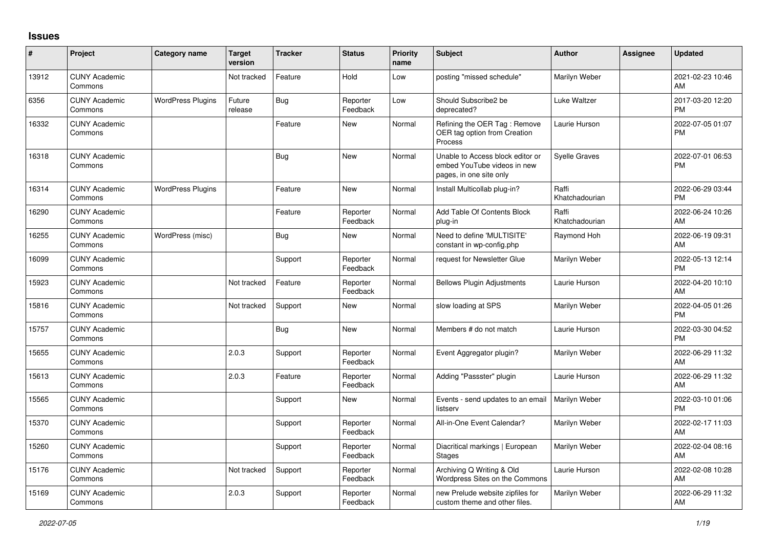## **Issues**

| ∦     | Project                         | Category name            | <b>Target</b><br>version | <b>Tracker</b> | <b>Status</b>        | <b>Priority</b><br>name | <b>Subject</b>                                                                             | <b>Author</b>           | Assignee | <b>Updated</b>                |
|-------|---------------------------------|--------------------------|--------------------------|----------------|----------------------|-------------------------|--------------------------------------------------------------------------------------------|-------------------------|----------|-------------------------------|
| 13912 | <b>CUNY Academic</b><br>Commons |                          | Not tracked              | Feature        | Hold                 | Low                     | posting "missed schedule"                                                                  | Marilyn Weber           |          | 2021-02-23 10:46<br>AM        |
| 6356  | <b>CUNY Academic</b><br>Commons | <b>WordPress Plugins</b> | Future<br>release        | Bug            | Reporter<br>Feedback | Low                     | Should Subscribe2 be<br>deprecated?                                                        | Luke Waltzer            |          | 2017-03-20 12:20<br><b>PM</b> |
| 16332 | <b>CUNY Academic</b><br>Commons |                          |                          | Feature        | <b>New</b>           | Normal                  | Refining the OER Tag: Remove<br>OER tag option from Creation<br>Process                    | Laurie Hurson           |          | 2022-07-05 01:07<br><b>PM</b> |
| 16318 | <b>CUNY Academic</b><br>Commons |                          |                          | Bug            | <b>New</b>           | Normal                  | Unable to Access block editor or<br>embed YouTube videos in new<br>pages, in one site only | Syelle Graves           |          | 2022-07-01 06:53<br><b>PM</b> |
| 16314 | <b>CUNY Academic</b><br>Commons | <b>WordPress Plugins</b> |                          | Feature        | <b>New</b>           | Normal                  | Install Multicollab plug-in?                                                               | Raffi<br>Khatchadourian |          | 2022-06-29 03:44<br><b>PM</b> |
| 16290 | <b>CUNY Academic</b><br>Commons |                          |                          | Feature        | Reporter<br>Feedback | Normal                  | Add Table Of Contents Block<br>plug-in                                                     | Raffi<br>Khatchadourian |          | 2022-06-24 10:26<br>AM        |
| 16255 | <b>CUNY Academic</b><br>Commons | WordPress (misc)         |                          | Bug            | <b>New</b>           | Normal                  | Need to define 'MULTISITE'<br>constant in wp-config.php                                    | Raymond Hoh             |          | 2022-06-19 09:31<br>AM        |
| 16099 | <b>CUNY Academic</b><br>Commons |                          |                          | Support        | Reporter<br>Feedback | Normal                  | request for Newsletter Glue                                                                | Marilyn Weber           |          | 2022-05-13 12:14<br><b>PM</b> |
| 15923 | <b>CUNY Academic</b><br>Commons |                          | Not tracked              | Feature        | Reporter<br>Feedback | Normal                  | <b>Bellows Plugin Adjustments</b>                                                          | Laurie Hurson           |          | 2022-04-20 10:10<br>AM        |
| 15816 | <b>CUNY Academic</b><br>Commons |                          | Not tracked              | Support        | New                  | Normal                  | slow loading at SPS                                                                        | Marilyn Weber           |          | 2022-04-05 01:26<br><b>PM</b> |
| 15757 | <b>CUNY Academic</b><br>Commons |                          |                          | <b>Bug</b>     | <b>New</b>           | Normal                  | Members # do not match                                                                     | Laurie Hurson           |          | 2022-03-30 04:52<br><b>PM</b> |
| 15655 | <b>CUNY Academic</b><br>Commons |                          | 2.0.3                    | Support        | Reporter<br>Feedback | Normal                  | Event Aggregator plugin?                                                                   | Marilyn Weber           |          | 2022-06-29 11:32<br>AM        |
| 15613 | <b>CUNY Academic</b><br>Commons |                          | 2.0.3                    | Feature        | Reporter<br>Feedback | Normal                  | Adding "Passster" plugin                                                                   | Laurie Hurson           |          | 2022-06-29 11:32<br>AM        |
| 15565 | <b>CUNY Academic</b><br>Commons |                          |                          | Support        | <b>New</b>           | Normal                  | Events - send updates to an email<br>listserv                                              | Marilyn Weber           |          | 2022-03-10 01:06<br><b>PM</b> |
| 15370 | <b>CUNY Academic</b><br>Commons |                          |                          | Support        | Reporter<br>Feedback | Normal                  | All-in-One Event Calendar?                                                                 | Marilyn Weber           |          | 2022-02-17 11:03<br>AM        |
| 15260 | <b>CUNY Academic</b><br>Commons |                          |                          | Support        | Reporter<br>Feedback | Normal                  | Diacritical markings   European<br><b>Stages</b>                                           | Marilyn Weber           |          | 2022-02-04 08:16<br>AM        |
| 15176 | <b>CUNY Academic</b><br>Commons |                          | Not tracked              | Support        | Reporter<br>Feedback | Normal                  | Archiving Q Writing & Old<br>Wordpress Sites on the Commons                                | Laurie Hurson           |          | 2022-02-08 10:28<br>AM        |
| 15169 | <b>CUNY Academic</b><br>Commons |                          | 2.0.3                    | Support        | Reporter<br>Feedback | Normal                  | new Prelude website zipfiles for<br>custom theme and other files.                          | Marilyn Weber           |          | 2022-06-29 11:32<br>AM        |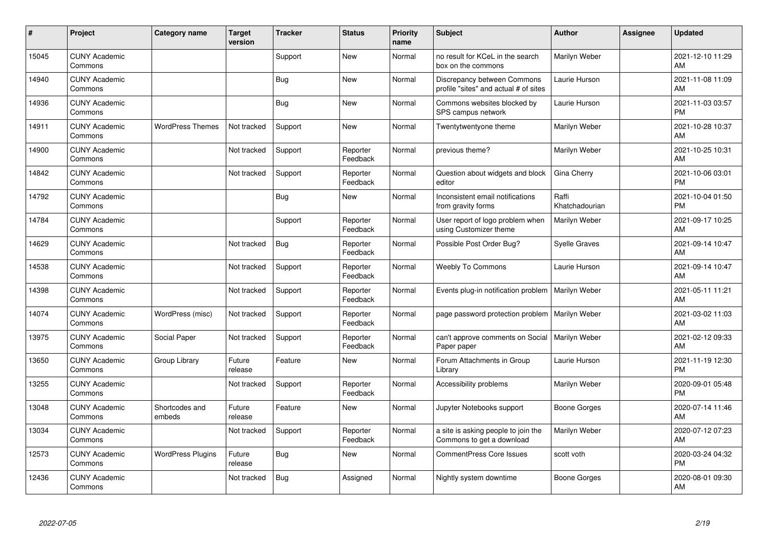| #     | Project                         | <b>Category name</b>     | <b>Target</b><br>version | <b>Tracker</b> | <b>Status</b>        | <b>Priority</b><br>name | <b>Subject</b>                                                       | <b>Author</b>           | <b>Assignee</b> | <b>Updated</b>                |
|-------|---------------------------------|--------------------------|--------------------------|----------------|----------------------|-------------------------|----------------------------------------------------------------------|-------------------------|-----------------|-------------------------------|
| 15045 | <b>CUNY Academic</b><br>Commons |                          |                          | Support        | <b>New</b>           | Normal                  | no result for KCeL in the search<br>box on the commons               | Marilyn Weber           |                 | 2021-12-10 11:29<br>AM        |
| 14940 | <b>CUNY Academic</b><br>Commons |                          |                          | Bug            | <b>New</b>           | Normal                  | Discrepancy between Commons<br>profile "sites" and actual # of sites | Laurie Hurson           |                 | 2021-11-08 11:09<br>AM        |
| 14936 | <b>CUNY Academic</b><br>Commons |                          |                          | Bug            | <b>New</b>           | Normal                  | Commons websites blocked by<br>SPS campus network                    | Laurie Hurson           |                 | 2021-11-03 03:57<br><b>PM</b> |
| 14911 | <b>CUNY Academic</b><br>Commons | <b>WordPress Themes</b>  | Not tracked              | Support        | <b>New</b>           | Normal                  | Twentytwentyone theme                                                | Marilyn Weber           |                 | 2021-10-28 10:37<br>AM        |
| 14900 | <b>CUNY Academic</b><br>Commons |                          | Not tracked              | Support        | Reporter<br>Feedback | Normal                  | previous theme?                                                      | Marilyn Weber           |                 | 2021-10-25 10:31<br>AM        |
| 14842 | <b>CUNY Academic</b><br>Commons |                          | Not tracked              | Support        | Reporter<br>Feedback | Normal                  | Question about widgets and block<br>editor                           | Gina Cherry             |                 | 2021-10-06 03:01<br><b>PM</b> |
| 14792 | <b>CUNY Academic</b><br>Commons |                          |                          | Bug            | <b>New</b>           | Normal                  | Inconsistent email notifications<br>from gravity forms               | Raffi<br>Khatchadourian |                 | 2021-10-04 01:50<br><b>PM</b> |
| 14784 | <b>CUNY Academic</b><br>Commons |                          |                          | Support        | Reporter<br>Feedback | Normal                  | User report of logo problem when<br>using Customizer theme           | Marilyn Weber           |                 | 2021-09-17 10:25<br>AM        |
| 14629 | <b>CUNY Academic</b><br>Commons |                          | Not tracked              | Bug            | Reporter<br>Feedback | Normal                  | Possible Post Order Bug?                                             | <b>Syelle Graves</b>    |                 | 2021-09-14 10:47<br>AM        |
| 14538 | <b>CUNY Academic</b><br>Commons |                          | Not tracked              | Support        | Reporter<br>Feedback | Normal                  | <b>Weebly To Commons</b>                                             | Laurie Hurson           |                 | 2021-09-14 10:47<br>AM        |
| 14398 | <b>CUNY Academic</b><br>Commons |                          | Not tracked              | Support        | Reporter<br>Feedback | Normal                  | Events plug-in notification problem                                  | Marilyn Weber           |                 | 2021-05-11 11:21<br>AM        |
| 14074 | <b>CUNY Academic</b><br>Commons | WordPress (misc)         | Not tracked              | Support        | Reporter<br>Feedback | Normal                  | page password protection problem                                     | Marilyn Weber           |                 | 2021-03-02 11:03<br>AM        |
| 13975 | <b>CUNY Academic</b><br>Commons | Social Paper             | Not tracked              | Support        | Reporter<br>Feedback | Normal                  | can't approve comments on Social<br>Paper paper                      | Marilyn Weber           |                 | 2021-02-12 09:33<br>AM        |
| 13650 | <b>CUNY Academic</b><br>Commons | Group Library            | Future<br>release        | Feature        | New                  | Normal                  | Forum Attachments in Group<br>Library                                | Laurie Hurson           |                 | 2021-11-19 12:30<br><b>PM</b> |
| 13255 | <b>CUNY Academic</b><br>Commons |                          | Not tracked              | Support        | Reporter<br>Feedback | Normal                  | Accessibility problems                                               | Marilyn Weber           |                 | 2020-09-01 05:48<br><b>PM</b> |
| 13048 | <b>CUNY Academic</b><br>Commons | Shortcodes and<br>embeds | Future<br>release        | Feature        | New                  | Normal                  | Jupyter Notebooks support                                            | Boone Gorges            |                 | 2020-07-14 11:46<br><b>AM</b> |
| 13034 | <b>CUNY Academic</b><br>Commons |                          | Not tracked              | Support        | Reporter<br>Feedback | Normal                  | a site is asking people to join the<br>Commons to get a download     | Marilyn Weber           |                 | 2020-07-12 07:23<br>AM        |
| 12573 | <b>CUNY Academic</b><br>Commons | <b>WordPress Plugins</b> | Future<br>release        | Bug            | New                  | Normal                  | <b>CommentPress Core Issues</b>                                      | scott voth              |                 | 2020-03-24 04:32<br><b>PM</b> |
| 12436 | <b>CUNY Academic</b><br>Commons |                          | Not tracked              | <b>Bug</b>     | Assigned             | Normal                  | Nightly system downtime                                              | Boone Gorges            |                 | 2020-08-01 09:30<br>AM        |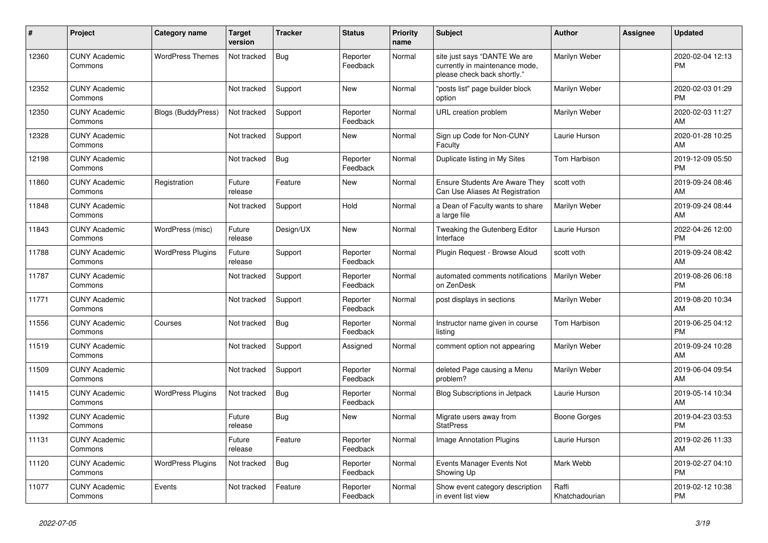| #     | Project                         | <b>Category name</b>      | <b>Target</b><br>version | <b>Tracker</b> | <b>Status</b>        | Priority<br>name | <b>Subject</b>                                                                                | <b>Author</b>           | Assignee | <b>Updated</b>                |
|-------|---------------------------------|---------------------------|--------------------------|----------------|----------------------|------------------|-----------------------------------------------------------------------------------------------|-------------------------|----------|-------------------------------|
| 12360 | <b>CUNY Academic</b><br>Commons | <b>WordPress Themes</b>   | Not tracked              | <b>Bug</b>     | Reporter<br>Feedback | Normal           | site just says "DANTE We are<br>currently in maintenance mode,<br>please check back shortly." | Marilyn Weber           |          | 2020-02-04 12:13<br><b>PM</b> |
| 12352 | <b>CUNY Academic</b><br>Commons |                           | Not tracked              | Support        | <b>New</b>           | Normal           | "posts list" page builder block<br>option                                                     | Marilyn Weber           |          | 2020-02-03 01:29<br><b>PM</b> |
| 12350 | <b>CUNY Academic</b><br>Commons | <b>Blogs (BuddyPress)</b> | Not tracked              | Support        | Reporter<br>Feedback | Normal           | URL creation problem                                                                          | Marilyn Weber           |          | 2020-02-03 11:27<br>AM        |
| 12328 | <b>CUNY Academic</b><br>Commons |                           | Not tracked              | Support        | New                  | Normal           | Sign up Code for Non-CUNY<br>Faculty                                                          | Laurie Hurson           |          | 2020-01-28 10:25<br>AM        |
| 12198 | <b>CUNY Academic</b><br>Commons |                           | Not tracked              | Bug            | Reporter<br>Feedback | Normal           | Duplicate listing in My Sites                                                                 | <b>Tom Harbison</b>     |          | 2019-12-09 05:50<br><b>PM</b> |
| 11860 | <b>CUNY Academic</b><br>Commons | Registration              | Future<br>release        | Feature        | <b>New</b>           | Normal           | <b>Ensure Students Are Aware They</b><br>Can Use Aliases At Registration                      | scott voth              |          | 2019-09-24 08:46<br>AM        |
| 11848 | <b>CUNY Academic</b><br>Commons |                           | Not tracked              | Support        | Hold                 | Normal           | a Dean of Faculty wants to share<br>a large file                                              | Marilyn Weber           |          | 2019-09-24 08:44<br>AM        |
| 11843 | <b>CUNY Academic</b><br>Commons | WordPress (misc)          | Future<br>release        | Design/UX      | <b>New</b>           | Normal           | Tweaking the Gutenberg Editor<br>Interface                                                    | Laurie Hurson           |          | 2022-04-26 12:00<br><b>PM</b> |
| 11788 | <b>CUNY Academic</b><br>Commons | <b>WordPress Plugins</b>  | Future<br>release        | Support        | Reporter<br>Feedback | Normal           | Plugin Request - Browse Aloud                                                                 | scott voth              |          | 2019-09-24 08:42<br>AM        |
| 11787 | <b>CUNY Academic</b><br>Commons |                           | Not tracked              | Support        | Reporter<br>Feedback | Normal           | automated comments notifications<br>on ZenDesk                                                | Marilyn Weber           |          | 2019-08-26 06:18<br><b>PM</b> |
| 11771 | <b>CUNY Academic</b><br>Commons |                           | Not tracked              | Support        | Reporter<br>Feedback | Normal           | post displays in sections                                                                     | Marilyn Weber           |          | 2019-08-20 10:34<br>AM        |
| 11556 | <b>CUNY Academic</b><br>Commons | Courses                   | Not tracked              | Bug            | Reporter<br>Feedback | Normal           | Instructor name given in course<br>listing                                                    | <b>Tom Harbison</b>     |          | 2019-06-25 04:12<br><b>PM</b> |
| 11519 | <b>CUNY Academic</b><br>Commons |                           | Not tracked              | Support        | Assigned             | Normal           | comment option not appearing                                                                  | Marilyn Weber           |          | 2019-09-24 10:28<br>AM        |
| 11509 | <b>CUNY Academic</b><br>Commons |                           | Not tracked              | Support        | Reporter<br>Feedback | Normal           | deleted Page causing a Menu<br>problem?                                                       | Marilyn Weber           |          | 2019-06-04 09:54<br>AM        |
| 11415 | <b>CUNY Academic</b><br>Commons | <b>WordPress Plugins</b>  | Not tracked              | Bug            | Reporter<br>Feedback | Normal           | Blog Subscriptions in Jetpack                                                                 | Laurie Hurson           |          | 2019-05-14 10:34<br>AM        |
| 11392 | <b>CUNY Academic</b><br>Commons |                           | Future<br>release        | <b>Bug</b>     | <b>New</b>           | Normal           | Migrate users away from<br><b>StatPress</b>                                                   | Boone Gorges            |          | 2019-04-23 03:53<br><b>PM</b> |
| 11131 | <b>CUNY Academic</b><br>Commons |                           | Future<br>release        | Feature        | Reporter<br>Feedback | Normal           | <b>Image Annotation Plugins</b>                                                               | Laurie Hurson           |          | 2019-02-26 11:33<br>AM        |
| 11120 | <b>CUNY Academic</b><br>Commons | <b>WordPress Plugins</b>  | Not tracked              | Bug            | Reporter<br>Feedback | Normal           | Events Manager Events Not<br>Showing Up                                                       | Mark Webb               |          | 2019-02-27 04:10<br><b>PM</b> |
| 11077 | <b>CUNY Academic</b><br>Commons | Events                    | Not tracked              | Feature        | Reporter<br>Feedback | Normal           | Show event category description<br>in event list view                                         | Raffi<br>Khatchadourian |          | 2019-02-12 10:38<br><b>PM</b> |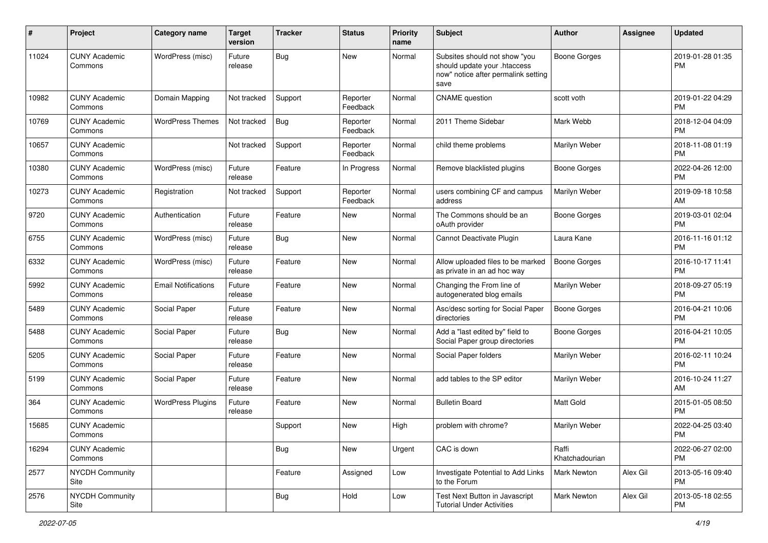| #     | Project                         | <b>Category name</b>       | <b>Target</b><br>version | <b>Tracker</b> | <b>Status</b>        | <b>Priority</b><br>name | Subject                                                                                                      | Author                  | <b>Assignee</b> | <b>Updated</b>                |
|-------|---------------------------------|----------------------------|--------------------------|----------------|----------------------|-------------------------|--------------------------------------------------------------------------------------------------------------|-------------------------|-----------------|-------------------------------|
| 11024 | <b>CUNY Academic</b><br>Commons | WordPress (misc)           | Future<br>release        | <b>Bug</b>     | New                  | Normal                  | Subsites should not show "you<br>should update your .htaccess<br>now" notice after permalink setting<br>save | Boone Gorges            |                 | 2019-01-28 01:35<br><b>PM</b> |
| 10982 | <b>CUNY Academic</b><br>Commons | Domain Mapping             | Not tracked              | Support        | Reporter<br>Feedback | Normal                  | <b>CNAME</b> question                                                                                        | scott voth              |                 | 2019-01-22 04:29<br><b>PM</b> |
| 10769 | <b>CUNY Academic</b><br>Commons | <b>WordPress Themes</b>    | Not tracked              | Bug            | Reporter<br>Feedback | Normal                  | 2011 Theme Sidebar                                                                                           | Mark Webb               |                 | 2018-12-04 04:09<br><b>PM</b> |
| 10657 | <b>CUNY Academic</b><br>Commons |                            | Not tracked              | Support        | Reporter<br>Feedback | Normal                  | child theme problems                                                                                         | Marilyn Weber           |                 | 2018-11-08 01:19<br><b>PM</b> |
| 10380 | <b>CUNY Academic</b><br>Commons | WordPress (misc)           | Future<br>release        | Feature        | In Progress          | Normal                  | Remove blacklisted plugins                                                                                   | Boone Gorges            |                 | 2022-04-26 12:00<br><b>PM</b> |
| 10273 | <b>CUNY Academic</b><br>Commons | Registration               | Not tracked              | Support        | Reporter<br>Feedback | Normal                  | users combining CF and campus<br>address                                                                     | Marilyn Weber           |                 | 2019-09-18 10:58<br>AM        |
| 9720  | <b>CUNY Academic</b><br>Commons | Authentication             | Future<br>release        | Feature        | New                  | Normal                  | The Commons should be an<br>oAuth provider                                                                   | Boone Gorges            |                 | 2019-03-01 02:04<br><b>PM</b> |
| 6755  | <b>CUNY Academic</b><br>Commons | WordPress (misc)           | Future<br>release        | Bug            | New                  | Normal                  | Cannot Deactivate Plugin                                                                                     | Laura Kane              |                 | 2016-11-16 01:12<br><b>PM</b> |
| 6332  | <b>CUNY Academic</b><br>Commons | WordPress (misc)           | Future<br>release        | Feature        | <b>New</b>           | Normal                  | Allow uploaded files to be marked<br>as private in an ad hoc way                                             | Boone Gorges            |                 | 2016-10-17 11:41<br><b>PM</b> |
| 5992  | <b>CUNY Academic</b><br>Commons | <b>Email Notifications</b> | Future<br>release        | Feature        | <b>New</b>           | Normal                  | Changing the From line of<br>autogenerated blog emails                                                       | Marilyn Weber           |                 | 2018-09-27 05:19<br><b>PM</b> |
| 5489  | <b>CUNY Academic</b><br>Commons | Social Paper               | Future<br>release        | Feature        | New                  | Normal                  | Asc/desc sorting for Social Paper<br>directories                                                             | <b>Boone Gorges</b>     |                 | 2016-04-21 10:06<br><b>PM</b> |
| 5488  | <b>CUNY Academic</b><br>Commons | Social Paper               | Future<br>release        | Bug            | New                  | Normal                  | Add a "last edited by" field to<br>Social Paper group directories                                            | Boone Gorges            |                 | 2016-04-21 10:05<br><b>PM</b> |
| 5205  | <b>CUNY Academic</b><br>Commons | Social Paper               | Future<br>release        | Feature        | New                  | Normal                  | Social Paper folders                                                                                         | Marilyn Weber           |                 | 2016-02-11 10:24<br><b>PM</b> |
| 5199  | <b>CUNY Academic</b><br>Commons | Social Paper               | Future<br>release        | Feature        | <b>New</b>           | Normal                  | add tables to the SP editor                                                                                  | Marilyn Weber           |                 | 2016-10-24 11:27<br>AM        |
| 364   | <b>CUNY Academic</b><br>Commons | <b>WordPress Plugins</b>   | Future<br>release        | Feature        | New                  | Normal                  | <b>Bulletin Board</b>                                                                                        | <b>Matt Gold</b>        |                 | 2015-01-05 08:50<br><b>PM</b> |
| 15685 | <b>CUNY Academic</b><br>Commons |                            |                          | Support        | New                  | High                    | problem with chrome?                                                                                         | Marilyn Weber           |                 | 2022-04-25 03:40<br>PM        |
| 16294 | <b>CUNY Academic</b><br>Commons |                            |                          | Bug            | New                  | Urgent                  | CAC is down                                                                                                  | Raffi<br>Khatchadourian |                 | 2022-06-27 02:00<br><b>PM</b> |
| 2577  | <b>NYCDH Community</b><br>Site  |                            |                          | Feature        | Assigned             | Low                     | Investigate Potential to Add Links<br>to the Forum                                                           | Mark Newton             | Alex Gil        | 2013-05-16 09:40<br><b>PM</b> |
| 2576  | <b>NYCDH Community</b><br>Site  |                            |                          | <b>Bug</b>     | Hold                 | Low                     | Test Next Button in Javascript<br><b>Tutorial Under Activities</b>                                           | Mark Newton             | Alex Gil        | 2013-05-18 02:55<br><b>PM</b> |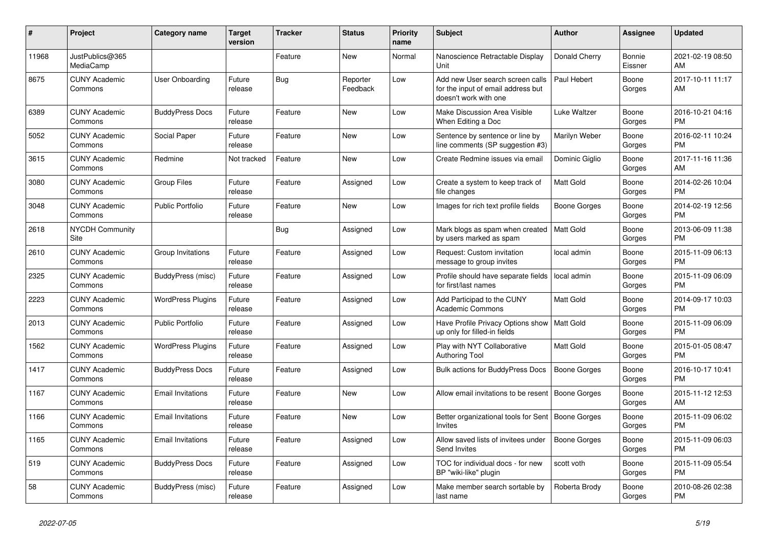| #     | <b>Project</b>                  | <b>Category name</b>     | <b>Target</b><br>version | <b>Tracker</b> | <b>Status</b>        | <b>Priority</b><br>name | <b>Subject</b>                                                                                  | <b>Author</b>    | Assignee          | <b>Updated</b>                |
|-------|---------------------------------|--------------------------|--------------------------|----------------|----------------------|-------------------------|-------------------------------------------------------------------------------------------------|------------------|-------------------|-------------------------------|
| 11968 | JustPublics@365<br>MediaCamp    |                          |                          | Feature        | New                  | Normal                  | Nanoscience Retractable Display<br>Unit                                                         | Donald Cherry    | Bonnie<br>Eissner | 2021-02-19 08:50<br>AM        |
| 8675  | <b>CUNY Academic</b><br>Commons | User Onboarding          | Future<br>release        | <b>Bug</b>     | Reporter<br>Feedback | Low                     | Add new User search screen calls<br>for the input of email address but<br>doesn't work with one | Paul Hebert      | Boone<br>Gorges   | 2017-10-11 11:17<br>AM        |
| 6389  | <b>CUNY Academic</b><br>Commons | <b>BuddyPress Docs</b>   | Future<br>release        | Feature        | <b>New</b>           | Low                     | Make Discussion Area Visible<br>When Editing a Doc                                              | Luke Waltzer     | Boone<br>Gorges   | 2016-10-21 04:16<br><b>PM</b> |
| 5052  | <b>CUNY Academic</b><br>Commons | Social Paper             | Future<br>release        | Feature        | <b>New</b>           | Low                     | Sentence by sentence or line by<br>line comments (SP suggestion #3)                             | Marilyn Weber    | Boone<br>Gorges   | 2016-02-11 10:24<br><b>PM</b> |
| 3615  | <b>CUNY Academic</b><br>Commons | Redmine                  | Not tracked              | Feature        | <b>New</b>           | Low                     | Create Redmine issues via email                                                                 | Dominic Giglio   | Boone<br>Gorges   | 2017-11-16 11:36<br>AM        |
| 3080  | <b>CUNY Academic</b><br>Commons | <b>Group Files</b>       | Future<br>release        | Feature        | Assigned             | Low                     | Create a system to keep track of<br>file changes                                                | <b>Matt Gold</b> | Boone<br>Gorges   | 2014-02-26 10:04<br><b>PM</b> |
| 3048  | <b>CUNY Academic</b><br>Commons | <b>Public Portfolio</b>  | Future<br>release        | Feature        | <b>New</b>           | Low                     | Images for rich text profile fields                                                             | Boone Gorges     | Boone<br>Gorges   | 2014-02-19 12:56<br><b>PM</b> |
| 2618  | <b>NYCDH Community</b><br>Site  |                          |                          | <b>Bug</b>     | Assigned             | Low                     | Mark blogs as spam when created<br>by users marked as spam                                      | Matt Gold        | Boone<br>Gorges   | 2013-06-09 11:38<br><b>PM</b> |
| 2610  | <b>CUNY Academic</b><br>Commons | Group Invitations        | Future<br>release        | Feature        | Assigned             | Low                     | Request: Custom invitation<br>message to group invites                                          | local admin      | Boone<br>Gorges   | 2015-11-09 06:13<br><b>PM</b> |
| 2325  | <b>CUNY Academic</b><br>Commons | BuddyPress (misc)        | Future<br>release        | Feature        | Assigned             | Low                     | Profile should have separate fields<br>for first/last names                                     | local admin      | Boone<br>Gorges   | 2015-11-09 06:09<br><b>PM</b> |
| 2223  | <b>CUNY Academic</b><br>Commons | <b>WordPress Plugins</b> | Future<br>release        | Feature        | Assigned             | Low                     | Add Participad to the CUNY<br><b>Academic Commons</b>                                           | Matt Gold        | Boone<br>Gorges   | 2014-09-17 10:03<br><b>PM</b> |
| 2013  | <b>CUNY Academic</b><br>Commons | <b>Public Portfolio</b>  | Future<br>release        | Feature        | Assigned             | Low                     | Have Profile Privacy Options show<br>up only for filled-in fields                               | Matt Gold        | Boone<br>Gorges   | 2015-11-09 06:09<br><b>PM</b> |
| 1562  | <b>CUNY Academic</b><br>Commons | <b>WordPress Plugins</b> | Future<br>release        | Feature        | Assigned             | Low                     | Play with NYT Collaborative<br>Authoring Tool                                                   | Matt Gold        | Boone<br>Gorges   | 2015-01-05 08:47<br><b>PM</b> |
| 1417  | <b>CUNY Academic</b><br>Commons | <b>BuddyPress Docs</b>   | Future<br>release        | Feature        | Assigned             | Low                     | <b>Bulk actions for BuddyPress Docs</b>                                                         | Boone Gorges     | Boone<br>Gorges   | 2016-10-17 10:41<br><b>PM</b> |
| 1167  | <b>CUNY Academic</b><br>Commons | <b>Email Invitations</b> | Future<br>release        | Feature        | New                  | Low                     | Allow email invitations to be resent                                                            | Boone Gorges     | Boone<br>Gorges   | 2015-11-12 12:53<br>AM        |
| 1166  | <b>CUNY Academic</b><br>Commons | <b>Email Invitations</b> | Future<br>release        | Feature        | <b>New</b>           | Low                     | Better organizational tools for Sent<br>Invites                                                 | Boone Gorges     | Boone<br>Gorges   | 2015-11-09 06:02<br><b>PM</b> |
| 1165  | <b>CUNY Academic</b><br>Commons | <b>Email Invitations</b> | Future<br>release        | Feature        | Assigned             | Low                     | Allow saved lists of invitees under<br>Send Invites                                             | Boone Gorges     | Boone<br>Gorges   | 2015-11-09 06:03<br><b>PM</b> |
| 519   | <b>CUNY Academic</b><br>Commons | <b>BuddyPress Docs</b>   | Future<br>release        | Feature        | Assigned             | Low                     | TOC for individual docs - for new<br>BP "wiki-like" plugin                                      | scott voth       | Boone<br>Gorges   | 2015-11-09 05:54<br><b>PM</b> |
| 58    | <b>CUNY Academic</b><br>Commons | BuddyPress (misc)        | Future<br>release        | Feature        | Assigned             | Low                     | Make member search sortable by<br>last name                                                     | Roberta Brody    | Boone<br>Gorges   | 2010-08-26 02:38<br><b>PM</b> |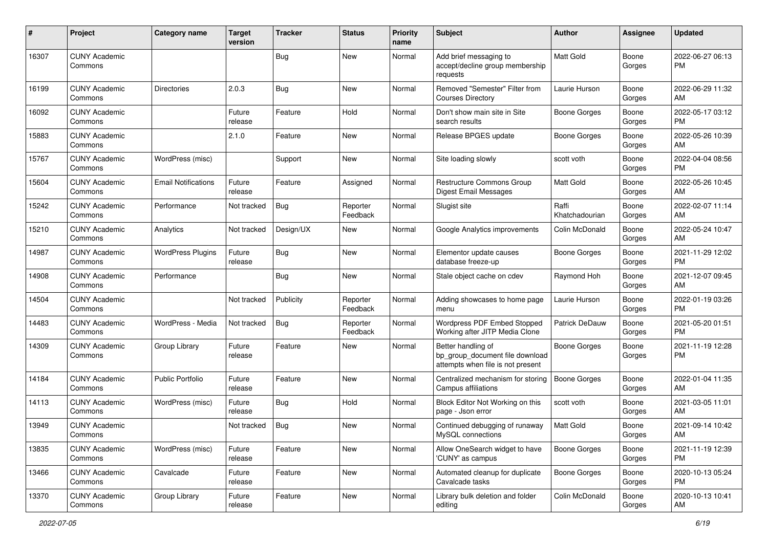| #     | Project                         | <b>Category name</b>       | <b>Target</b><br>version | <b>Tracker</b> | <b>Status</b>        | <b>Priority</b><br>name | <b>Subject</b>                                                                             | <b>Author</b>           | <b>Assignee</b> | <b>Updated</b>                |
|-------|---------------------------------|----------------------------|--------------------------|----------------|----------------------|-------------------------|--------------------------------------------------------------------------------------------|-------------------------|-----------------|-------------------------------|
| 16307 | <b>CUNY Academic</b><br>Commons |                            |                          | Bug            | New                  | Normal                  | Add brief messaging to<br>accept/decline group membership<br>requests                      | Matt Gold               | Boone<br>Gorges | 2022-06-27 06:13<br>PM.       |
| 16199 | <b>CUNY Academic</b><br>Commons | Directories                | 2.0.3                    | <b>Bug</b>     | <b>New</b>           | Normal                  | Removed "Semester" Filter from<br><b>Courses Directory</b>                                 | Laurie Hurson           | Boone<br>Gorges | 2022-06-29 11:32<br>AM        |
| 16092 | <b>CUNY Academic</b><br>Commons |                            | Future<br>release        | Feature        | Hold                 | Normal                  | Don't show main site in Site<br>search results                                             | <b>Boone Gorges</b>     | Boone<br>Gorges | 2022-05-17 03:12<br><b>PM</b> |
| 15883 | <b>CUNY Academic</b><br>Commons |                            | 2.1.0                    | Feature        | New                  | Normal                  | Release BPGES update                                                                       | <b>Boone Gorges</b>     | Boone<br>Gorges | 2022-05-26 10:39<br>AM        |
| 15767 | <b>CUNY Academic</b><br>Commons | WordPress (misc)           |                          | Support        | New                  | Normal                  | Site loading slowly                                                                        | scott voth              | Boone<br>Gorges | 2022-04-04 08:56<br>PM.       |
| 15604 | <b>CUNY Academic</b><br>Commons | <b>Email Notifications</b> | Future<br>release        | Feature        | Assigned             | Normal                  | <b>Restructure Commons Group</b><br>Digest Email Messages                                  | <b>Matt Gold</b>        | Boone<br>Gorges | 2022-05-26 10:45<br>AM        |
| 15242 | <b>CUNY Academic</b><br>Commons | Performance                | Not tracked              | Bug            | Reporter<br>Feedback | Normal                  | Slugist site                                                                               | Raffi<br>Khatchadourian | Boone<br>Gorges | 2022-02-07 11:14<br>AM        |
| 15210 | <b>CUNY Academic</b><br>Commons | Analytics                  | Not tracked              | Design/UX      | New                  | Normal                  | Google Analytics improvements                                                              | Colin McDonald          | Boone<br>Gorges | 2022-05-24 10:47<br>AM        |
| 14987 | <b>CUNY Academic</b><br>Commons | <b>WordPress Plugins</b>   | Future<br>release        | <b>Bug</b>     | New                  | Normal                  | Elementor update causes<br>database freeze-up                                              | <b>Boone Gorges</b>     | Boone<br>Gorges | 2021-11-29 12:02<br>PM.       |
| 14908 | <b>CUNY Academic</b><br>Commons | Performance                |                          | <b>Bug</b>     | New                  | Normal                  | Stale object cache on cdev                                                                 | Raymond Hoh             | Boone<br>Gorges | 2021-12-07 09:45<br>AM        |
| 14504 | <b>CUNY Academic</b><br>Commons |                            | Not tracked              | Publicity      | Reporter<br>Feedback | Normal                  | Adding showcases to home page<br>menu                                                      | Laurie Hurson           | Boone<br>Gorges | 2022-01-19 03:26<br><b>PM</b> |
| 14483 | <b>CUNY Academic</b><br>Commons | WordPress - Media          | Not tracked              | Bug            | Reporter<br>Feedback | Normal                  | Wordpress PDF Embed Stopped<br>Working after JITP Media Clone                              | Patrick DeDauw          | Boone<br>Gorges | 2021-05-20 01:51<br><b>PM</b> |
| 14309 | <b>CUNY Academic</b><br>Commons | Group Library              | Future<br>release        | Feature        | New                  | Normal                  | Better handling of<br>bp_group_document file download<br>attempts when file is not present | <b>Boone Gorges</b>     | Boone<br>Gorges | 2021-11-19 12:28<br><b>PM</b> |
| 14184 | <b>CUNY Academic</b><br>Commons | Public Portfolio           | Future<br>release        | Feature        | New                  | Normal                  | Centralized mechanism for storing<br>Campus affiliations                                   | Boone Gorges            | Boone<br>Gorges | 2022-01-04 11:35<br>AM        |
| 14113 | <b>CUNY Academic</b><br>Commons | WordPress (misc)           | Future<br>release        | Bug            | Hold                 | Normal                  | Block Editor Not Working on this<br>page - Json error                                      | scott voth              | Boone<br>Gorges | 2021-03-05 11:01<br>AM        |
| 13949 | <b>CUNY Academic</b><br>Commons |                            | Not tracked              | <b>Bug</b>     | New                  | Normal                  | Continued debugging of runaway<br>MySQL connections                                        | Matt Gold               | Boone<br>Gorges | 2021-09-14 10:42<br>AM        |
| 13835 | <b>CUNY Academic</b><br>Commons | WordPress (misc)           | Future<br>release        | Feature        | New                  | Normal                  | Allow OneSearch widget to have<br>'CUNY' as campus                                         | <b>Boone Gorges</b>     | Boone<br>Gorges | 2021-11-19 12:39<br>PM        |
| 13466 | <b>CUNY Academic</b><br>Commons | Cavalcade                  | Future<br>release        | Feature        | New                  | Normal                  | Automated cleanup for duplicate<br>Cavalcade tasks                                         | Boone Gorges            | Boone<br>Gorges | 2020-10-13 05:24<br><b>PM</b> |
| 13370 | <b>CUNY Academic</b><br>Commons | Group Library              | Future<br>release        | Feature        | New                  | Normal                  | Library bulk deletion and folder<br>editing                                                | Colin McDonald          | Boone<br>Gorges | 2020-10-13 10:41<br>AM        |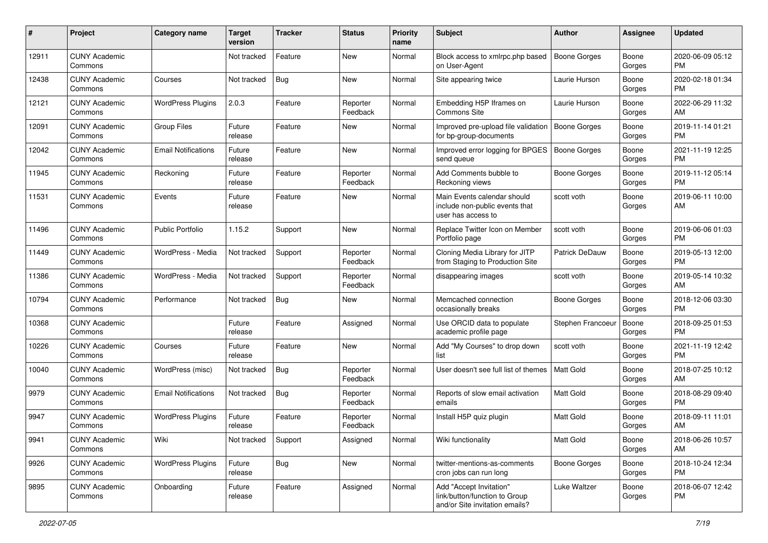| #     | Project                         | <b>Category name</b>       | Target<br>version | <b>Tracker</b> | <b>Status</b>        | <b>Priority</b><br>name | <b>Subject</b>                                                                             | <b>Author</b>       | Assignee        | <b>Updated</b>                |
|-------|---------------------------------|----------------------------|-------------------|----------------|----------------------|-------------------------|--------------------------------------------------------------------------------------------|---------------------|-----------------|-------------------------------|
| 12911 | <b>CUNY Academic</b><br>Commons |                            | Not tracked       | Feature        | New                  | Normal                  | Block access to xmlrpc.php based<br>on User-Agent                                          | <b>Boone Gorges</b> | Boone<br>Gorges | 2020-06-09 05:12<br>PM        |
| 12438 | <b>CUNY Academic</b><br>Commons | Courses                    | Not tracked       | <b>Bug</b>     | New                  | Normal                  | Site appearing twice                                                                       | Laurie Hurson       | Boone<br>Gorges | 2020-02-18 01:34<br><b>PM</b> |
| 12121 | <b>CUNY Academic</b><br>Commons | <b>WordPress Plugins</b>   | 2.0.3             | Feature        | Reporter<br>Feedback | Normal                  | Embedding H5P Iframes on<br>Commons Site                                                   | Laurie Hurson       | Boone<br>Gorges | 2022-06-29 11:32<br>AM        |
| 12091 | <b>CUNY Academic</b><br>Commons | <b>Group Files</b>         | Future<br>release | Feature        | New                  | Normal                  | Improved pre-upload file validation<br>for bp-group-documents                              | <b>Boone Gorges</b> | Boone<br>Gorges | 2019-11-14 01:21<br><b>PM</b> |
| 12042 | <b>CUNY Academic</b><br>Commons | <b>Email Notifications</b> | Future<br>release | Feature        | <b>New</b>           | Normal                  | Improved error logging for BPGES<br>send queue                                             | <b>Boone Gorges</b> | Boone<br>Gorges | 2021-11-19 12:25<br><b>PM</b> |
| 11945 | <b>CUNY Academic</b><br>Commons | Reckoning                  | Future<br>release | Feature        | Reporter<br>Feedback | Normal                  | Add Comments bubble to<br>Reckoning views                                                  | Boone Gorges        | Boone<br>Gorges | 2019-11-12 05:14<br><b>PM</b> |
| 11531 | <b>CUNY Academic</b><br>Commons | Events                     | Future<br>release | Feature        | New                  | Normal                  | Main Events calendar should<br>include non-public events that<br>user has access to        | scott voth          | Boone<br>Gorges | 2019-06-11 10:00<br>AM        |
| 11496 | <b>CUNY Academic</b><br>Commons | <b>Public Portfolio</b>    | 1.15.2            | Support        | New                  | Normal                  | Replace Twitter Icon on Member<br>Portfolio page                                           | scott voth          | Boone<br>Gorges | 2019-06-06 01:03<br><b>PM</b> |
| 11449 | <b>CUNY Academic</b><br>Commons | WordPress - Media          | Not tracked       | Support        | Reporter<br>Feedback | Normal                  | Cloning Media Library for JITP<br>from Staging to Production Site                          | Patrick DeDauw      | Boone<br>Gorges | 2019-05-13 12:00<br><b>PM</b> |
| 11386 | <b>CUNY Academic</b><br>Commons | WordPress - Media          | Not tracked       | Support        | Reporter<br>Feedback | Normal                  | disappearing images                                                                        | scott voth          | Boone<br>Gorges | 2019-05-14 10:32<br>AM        |
| 10794 | <b>CUNY Academic</b><br>Commons | Performance                | Not tracked       | Bug            | New                  | Normal                  | Memcached connection<br>occasionally breaks                                                | Boone Gorges        | Boone<br>Gorges | 2018-12-06 03:30<br><b>PM</b> |
| 10368 | <b>CUNY Academic</b><br>Commons |                            | Future<br>release | Feature        | Assigned             | Normal                  | Use ORCID data to populate<br>academic profile page                                        | Stephen Francoeur   | Boone<br>Gorges | 2018-09-25 01:53<br><b>PM</b> |
| 10226 | <b>CUNY Academic</b><br>Commons | Courses                    | Future<br>release | Feature        | <b>New</b>           | Normal                  | Add "My Courses" to drop down<br>list                                                      | scott voth          | Boone<br>Gorges | 2021-11-19 12:42<br><b>PM</b> |
| 10040 | <b>CUNY Academic</b><br>Commons | WordPress (misc)           | Not tracked       | Bug            | Reporter<br>Feedback | Normal                  | User doesn't see full list of themes                                                       | Matt Gold           | Boone<br>Gorges | 2018-07-25 10:12<br>AM        |
| 9979  | <b>CUNY Academic</b><br>Commons | <b>Email Notifications</b> | Not tracked       | <b>Bug</b>     | Reporter<br>Feedback | Normal                  | Reports of slow email activation<br>emails                                                 | Matt Gold           | Boone<br>Gorges | 2018-08-29 09:40<br><b>PM</b> |
| 9947  | <b>CUNY Academic</b><br>Commons | <b>WordPress Plugins</b>   | Future<br>release | Feature        | Reporter<br>Feedback | Normal                  | Install H5P quiz plugin                                                                    | <b>Matt Gold</b>    | Boone<br>Gorges | 2018-09-11 11:01<br>AM        |
| 9941  | <b>CUNY Academic</b><br>Commons | Wiki                       | Not tracked       | Support        | Assigned             | Normal                  | Wiki functionality                                                                         | Matt Gold           | Boone<br>Gorges | 2018-06-26 10:57<br>AM        |
| 9926  | <b>CUNY Academic</b><br>Commons | <b>WordPress Plugins</b>   | Future<br>release | Bug            | New                  | Normal                  | twitter-mentions-as-comments<br>cron jobs can run long                                     | Boone Gorges        | Boone<br>Gorges | 2018-10-24 12:34<br><b>PM</b> |
| 9895  | <b>CUNY Academic</b><br>Commons | Onboarding                 | Future<br>release | Feature        | Assigned             | Normal                  | Add "Accept Invitation"<br>link/button/function to Group<br>and/or Site invitation emails? | Luke Waltzer        | Boone<br>Gorges | 2018-06-07 12:42<br>PM        |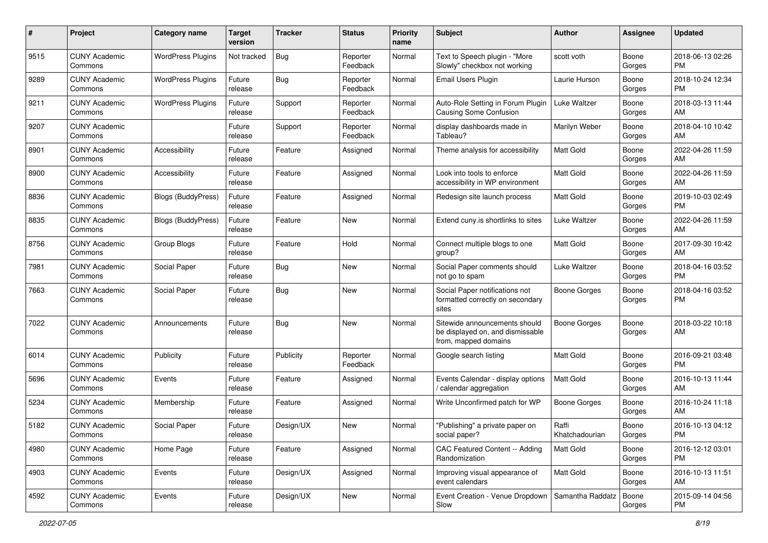| #    | Project                         | <b>Category name</b>      | <b>Target</b><br>version | <b>Tracker</b> | <b>Status</b>        | <b>Priority</b><br>name | Subject                                                                                   | Author                  | Assignee        | <b>Updated</b>                |
|------|---------------------------------|---------------------------|--------------------------|----------------|----------------------|-------------------------|-------------------------------------------------------------------------------------------|-------------------------|-----------------|-------------------------------|
| 9515 | <b>CUNY Academic</b><br>Commons | <b>WordPress Plugins</b>  | Not tracked              | <b>Bug</b>     | Reporter<br>Feedback | Normal                  | Text to Speech plugin - "More<br>Slowly" checkbox not working                             | scott voth              | Boone<br>Gorges | 2018-06-13 02:26<br>PM.       |
| 9289 | <b>CUNY Academic</b><br>Commons | <b>WordPress Plugins</b>  | Future<br>release        | <b>Bug</b>     | Reporter<br>Feedback | Normal                  | Email Users Plugin                                                                        | Laurie Hurson           | Boone<br>Gorges | 2018-10-24 12:34<br><b>PM</b> |
| 9211 | CUNY Academic<br>Commons        | <b>WordPress Plugins</b>  | Future<br>release        | Support        | Reporter<br>Feedback | Normal                  | Auto-Role Setting in Forum Plugin<br>Causing Some Confusion                               | Luke Waltzer            | Boone<br>Gorges | 2018-03-13 11:44<br>AM        |
| 9207 | <b>CUNY Academic</b><br>Commons |                           | Future<br>release        | Support        | Reporter<br>Feedback | Normal                  | display dashboards made in<br>Tableau?                                                    | Marilyn Weber           | Boone<br>Gorges | 2018-04-10 10:42<br>AM        |
| 8901 | <b>CUNY Academic</b><br>Commons | Accessibility             | Future<br>release        | Feature        | Assigned             | Normal                  | Theme analysis for accessibility                                                          | <b>Matt Gold</b>        | Boone<br>Gorges | 2022-04-26 11:59<br>AM        |
| 8900 | <b>CUNY Academic</b><br>Commons | Accessibility             | Future<br>release        | Feature        | Assigned             | Normal                  | Look into tools to enforce<br>accessibility in WP environment                             | Matt Gold               | Boone<br>Gorges | 2022-04-26 11:59<br>AM        |
| 8836 | <b>CUNY Academic</b><br>Commons | <b>Blogs (BuddyPress)</b> | Future<br>release        | Feature        | Assigned             | Normal                  | Redesign site launch process                                                              | Matt Gold               | Boone<br>Gorges | 2019-10-03 02:49<br><b>PM</b> |
| 8835 | <b>CUNY Academic</b><br>Commons | <b>Blogs (BuddyPress)</b> | Future<br>release        | Feature        | New                  | Normal                  | Extend cuny.is shortlinks to sites                                                        | Luke Waltzer            | Boone<br>Gorges | 2022-04-26 11:59<br>AM        |
| 8756 | <b>CUNY Academic</b><br>Commons | Group Blogs               | Future<br>release        | Feature        | Hold                 | Normal                  | Connect multiple blogs to one<br>group?                                                   | Matt Gold               | Boone<br>Gorges | 2017-09-30 10:42<br>AM        |
| 7981 | CUNY Academic<br>Commons        | Social Paper              | Future<br>release        | <b>Bug</b>     | New                  | Normal                  | Social Paper comments should<br>not go to spam                                            | Luke Waltzer            | Boone<br>Gorges | 2018-04-16 03:52<br><b>PM</b> |
| 7663 | <b>CUNY Academic</b><br>Commons | Social Paper              | Future<br>release        | <b>Bug</b>     | New                  | Normal                  | Social Paper notifications not<br>formatted correctly on secondary<br>sites               | Boone Gorges            | Boone<br>Gorges | 2018-04-16 03:52<br><b>PM</b> |
| 7022 | <b>CUNY Academic</b><br>Commons | Announcements             | Future<br>release        | Bug            | New                  | Normal                  | Sitewide announcements should<br>be displayed on, and dismissable<br>from, mapped domains | <b>Boone Gorges</b>     | Boone<br>Gorges | 2018-03-22 10:18<br>AM        |
| 6014 | <b>CUNY Academic</b><br>Commons | Publicity                 | Future<br>release        | Publicity      | Reporter<br>Feedback | Normal                  | Google search listing                                                                     | <b>Matt Gold</b>        | Boone<br>Gorges | 2016-09-21 03:48<br>PM.       |
| 5696 | <b>CUNY Academic</b><br>Commons | Events                    | Future<br>release        | Feature        | Assigned             | Normal                  | Events Calendar - display options<br>/ calendar aggregation                               | <b>Matt Gold</b>        | Boone<br>Gorges | 2016-10-13 11:44<br>AM        |
| 5234 | <b>CUNY Academic</b><br>Commons | Membership                | Future<br>release        | Feature        | Assigned             | Normal                  | Write Unconfirmed patch for WP                                                            | <b>Boone Gorges</b>     | Boone<br>Gorges | 2016-10-24 11:18<br>AM        |
| 5182 | <b>CUNY Academic</b><br>Commons | Social Paper              | Future<br>release        | Design/UX      | New                  | Normal                  | "Publishing" a private paper on<br>social paper?                                          | Raffi<br>Khatchadourian | Boone<br>Gorges | 2016-10-13 04:12<br><b>PM</b> |
| 4980 | <b>CUNY Academic</b><br>Commons | Home Page                 | Future<br>release        | Feature        | Assigned             | Normal                  | CAC Featured Content -- Adding<br>Randomization                                           | <b>Matt Gold</b>        | Boone<br>Gorges | 2016-12-12 03:01<br><b>PM</b> |
| 4903 | <b>CUNY Academic</b><br>Commons | Events                    | Future<br>release        | Design/UX      | Assigned             | Normal                  | Improving visual appearance of<br>event calendars                                         | <b>Matt Gold</b>        | Boone<br>Gorges | 2016-10-13 11:51<br>AM        |
| 4592 | <b>CUNY Academic</b><br>Commons | Events                    | Future<br>release        | Design/UX      | New                  | Normal                  | Event Creation - Venue Dropdown<br>Slow                                                   | Samantha Raddatz        | Boone<br>Gorges | 2015-09-14 04:56<br><b>PM</b> |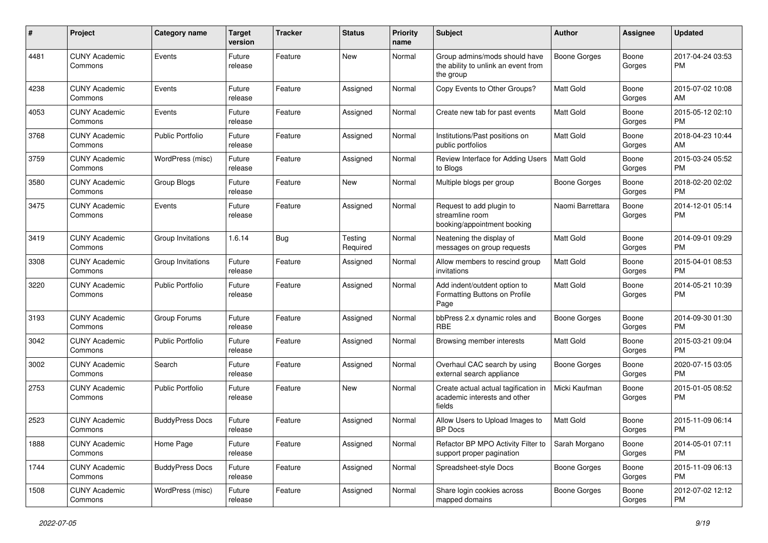| #    | Project                         | <b>Category name</b>    | <b>Target</b><br>version | <b>Tracker</b> | <b>Status</b>       | <b>Priority</b><br>name | Subject                                                                           | Author              | <b>Assignee</b> | <b>Updated</b>                |
|------|---------------------------------|-------------------------|--------------------------|----------------|---------------------|-------------------------|-----------------------------------------------------------------------------------|---------------------|-----------------|-------------------------------|
| 4481 | <b>CUNY Academic</b><br>Commons | Events                  | Future<br>release        | Feature        | <b>New</b>          | Normal                  | Group admins/mods should have<br>the ability to unlink an event from<br>the group | <b>Boone Gorges</b> | Boone<br>Gorges | 2017-04-24 03:53<br><b>PM</b> |
| 4238 | <b>CUNY Academic</b><br>Commons | Events                  | Future<br>release        | Feature        | Assigned            | Normal                  | Copy Events to Other Groups?                                                      | <b>Matt Gold</b>    | Boone<br>Gorges | 2015-07-02 10:08<br>AM        |
| 4053 | <b>CUNY Academic</b><br>Commons | Events                  | Future<br>release        | Feature        | Assigned            | Normal                  | Create new tab for past events                                                    | Matt Gold           | Boone<br>Gorges | 2015-05-12 02:10<br><b>PM</b> |
| 3768 | <b>CUNY Academic</b><br>Commons | <b>Public Portfolio</b> | Future<br>release        | Feature        | Assigned            | Normal                  | Institutions/Past positions on<br>public portfolios                               | Matt Gold           | Boone<br>Gorges | 2018-04-23 10:44<br>AM        |
| 3759 | <b>CUNY Academic</b><br>Commons | WordPress (misc)        | Future<br>release        | Feature        | Assigned            | Normal                  | Review Interface for Adding Users<br>to Blogs                                     | Matt Gold           | Boone<br>Gorges | 2015-03-24 05:52<br><b>PM</b> |
| 3580 | <b>CUNY Academic</b><br>Commons | Group Blogs             | Future<br>release        | Feature        | <b>New</b>          | Normal                  | Multiple blogs per group                                                          | <b>Boone Gorges</b> | Boone<br>Gorges | 2018-02-20 02:02<br><b>PM</b> |
| 3475 | <b>CUNY Academic</b><br>Commons | Events                  | Future<br>release        | Feature        | Assigned            | Normal                  | Request to add plugin to<br>streamline room<br>booking/appointment booking        | Naomi Barrettara    | Boone<br>Gorges | 2014-12-01 05:14<br><b>PM</b> |
| 3419 | <b>CUNY Academic</b><br>Commons | Group Invitations       | 1.6.14                   | Bug            | Testing<br>Required | Normal                  | Neatening the display of<br>messages on group requests                            | Matt Gold           | Boone<br>Gorges | 2014-09-01 09:29<br><b>PM</b> |
| 3308 | <b>CUNY Academic</b><br>Commons | Group Invitations       | Future<br>release        | Feature        | Assigned            | Normal                  | Allow members to rescind group<br>invitations                                     | <b>Matt Gold</b>    | Boone<br>Gorges | 2015-04-01 08:53<br><b>PM</b> |
| 3220 | <b>CUNY Academic</b><br>Commons | <b>Public Portfolio</b> | Future<br>release        | Feature        | Assigned            | Normal                  | Add indent/outdent option to<br>Formatting Buttons on Profile<br>Page             | <b>Matt Gold</b>    | Boone<br>Gorges | 2014-05-21 10:39<br>PM        |
| 3193 | <b>CUNY Academic</b><br>Commons | Group Forums            | Future<br>release        | Feature        | Assigned            | Normal                  | bbPress 2.x dynamic roles and<br>RBE                                              | <b>Boone Gorges</b> | Boone<br>Gorges | 2014-09-30 01:30<br><b>PM</b> |
| 3042 | <b>CUNY Academic</b><br>Commons | Public Portfolio        | Future<br>release        | Feature        | Assigned            | Normal                  | Browsing member interests                                                         | <b>Matt Gold</b>    | Boone<br>Gorges | 2015-03-21 09:04<br><b>PM</b> |
| 3002 | <b>CUNY Academic</b><br>Commons | Search                  | Future<br>release        | Feature        | Assigned            | Normal                  | Overhaul CAC search by using<br>external search appliance                         | <b>Boone Gorges</b> | Boone<br>Gorges | 2020-07-15 03:05<br><b>PM</b> |
| 2753 | <b>CUNY Academic</b><br>Commons | Public Portfolio        | Future<br>release        | Feature        | <b>New</b>          | Normal                  | Create actual actual tagification in<br>academic interests and other<br>fields    | Micki Kaufman       | Boone<br>Gorges | 2015-01-05 08:52<br><b>PM</b> |
| 2523 | <b>CUNY Academic</b><br>Commons | <b>BuddyPress Docs</b>  | Future<br>release        | Feature        | Assigned            | Normal                  | Allow Users to Upload Images to<br><b>BP</b> Docs                                 | <b>Matt Gold</b>    | Boone<br>Gorges | 2015-11-09 06:14<br><b>PM</b> |
| 1888 | <b>CUNY Academic</b><br>Commons | Home Page               | Future<br>release        | Feature        | Assigned            | Normal                  | Refactor BP MPO Activity Filter to<br>support proper pagination                   | Sarah Morgano       | Boone<br>Gorges | 2014-05-01 07:11<br>PM.       |
| 1744 | <b>CUNY Academic</b><br>Commons | <b>BuddyPress Docs</b>  | Future<br>release        | Feature        | Assigned            | Normal                  | Spreadsheet-style Docs                                                            | <b>Boone Gorges</b> | Boone<br>Gorges | 2015-11-09 06:13<br><b>PM</b> |
| 1508 | <b>CUNY Academic</b><br>Commons | WordPress (misc)        | Future<br>release        | Feature        | Assigned            | Normal                  | Share login cookies across<br>mapped domains                                      | Boone Gorges        | Boone<br>Gorges | 2012-07-02 12:12<br><b>PM</b> |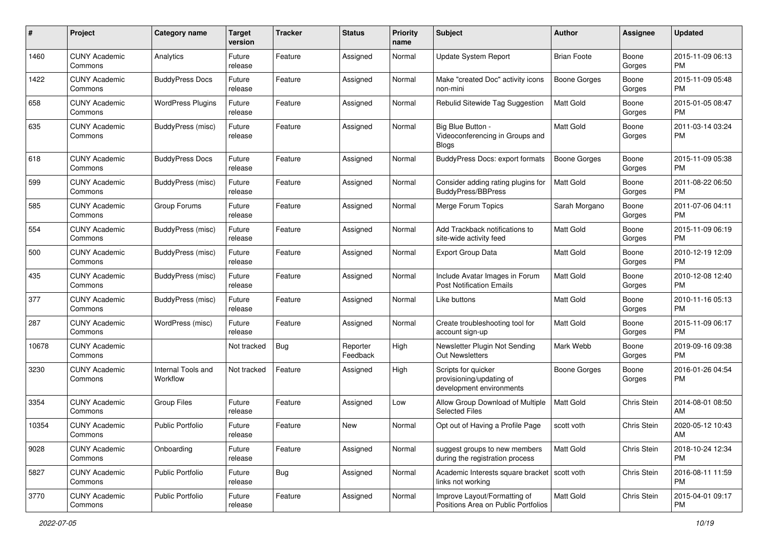| #     | Project                         | <b>Category name</b>           | <b>Target</b><br>version | <b>Tracker</b> | <b>Status</b>        | <b>Priority</b><br>name | <b>Subject</b>                                                              | Author              | <b>Assignee</b>    | <b>Updated</b>                |
|-------|---------------------------------|--------------------------------|--------------------------|----------------|----------------------|-------------------------|-----------------------------------------------------------------------------|---------------------|--------------------|-------------------------------|
| 1460  | <b>CUNY Academic</b><br>Commons | Analytics                      | Future<br>release        | Feature        | Assigned             | Normal                  | Update System Report                                                        | <b>Brian Foote</b>  | Boone<br>Gorges    | 2015-11-09 06:13<br>PM.       |
| 1422  | <b>CUNY Academic</b><br>Commons | <b>BuddyPress Docs</b>         | Future<br>release        | Feature        | Assigned             | Normal                  | Make "created Doc" activity icons<br>non-mini                               | <b>Boone Gorges</b> | Boone<br>Gorges    | 2015-11-09 05:48<br><b>PM</b> |
| 658   | <b>CUNY Academic</b><br>Commons | <b>WordPress Plugins</b>       | Future<br>release        | Feature        | Assigned             | Normal                  | Rebulid Sitewide Tag Suggestion                                             | Matt Gold           | Boone<br>Gorges    | 2015-01-05 08:47<br><b>PM</b> |
| 635   | <b>CUNY Academic</b><br>Commons | BuddyPress (misc)              | Future<br>release        | Feature        | Assigned             | Normal                  | Big Blue Button -<br>Videoconferencing in Groups and<br><b>Blogs</b>        | <b>Matt Gold</b>    | Boone<br>Gorges    | 2011-03-14 03:24<br><b>PM</b> |
| 618   | <b>CUNY Academic</b><br>Commons | <b>BuddyPress Docs</b>         | Future<br>release        | Feature        | Assigned             | Normal                  | <b>BuddyPress Docs: export formats</b>                                      | <b>Boone Gorges</b> | Boone<br>Gorges    | 2015-11-09 05:38<br><b>PM</b> |
| 599   | <b>CUNY Academic</b><br>Commons | BuddyPress (misc)              | Future<br>release        | Feature        | Assigned             | Normal                  | Consider adding rating plugins for<br><b>BuddyPress/BBPress</b>             | Matt Gold           | Boone<br>Gorges    | 2011-08-22 06:50<br><b>PM</b> |
| 585   | <b>CUNY Academic</b><br>Commons | Group Forums                   | Future<br>release        | Feature        | Assigned             | Normal                  | Merge Forum Topics                                                          | Sarah Morgano       | Boone<br>Gorges    | 2011-07-06 04:11<br><b>PM</b> |
| 554   | <b>CUNY Academic</b><br>Commons | BuddyPress (misc)              | Future<br>release        | Feature        | Assigned             | Normal                  | Add Trackback notifications to<br>site-wide activity feed                   | Matt Gold           | Boone<br>Gorges    | 2015-11-09 06:19<br><b>PM</b> |
| 500   | <b>CUNY Academic</b><br>Commons | BuddyPress (misc)              | Future<br>release        | Feature        | Assigned             | Normal                  | <b>Export Group Data</b>                                                    | <b>Matt Gold</b>    | Boone<br>Gorges    | 2010-12-19 12:09<br>PM.       |
| 435   | <b>CUNY Academic</b><br>Commons | BuddyPress (misc)              | Future<br>release        | Feature        | Assigned             | Normal                  | Include Avatar Images in Forum<br><b>Post Notification Emails</b>           | <b>Matt Gold</b>    | Boone<br>Gorges    | 2010-12-08 12:40<br><b>PM</b> |
| 377   | <b>CUNY Academic</b><br>Commons | BuddyPress (misc)              | Future<br>release        | Feature        | Assigned             | Normal                  | Like buttons                                                                | Matt Gold           | Boone<br>Gorges    | 2010-11-16 05:13<br><b>PM</b> |
| 287   | <b>CUNY Academic</b><br>Commons | WordPress (misc)               | Future<br>release        | Feature        | Assigned             | Normal                  | Create troubleshooting tool for<br>account sign-up                          | <b>Matt Gold</b>    | Boone<br>Gorges    | 2015-11-09 06:17<br><b>PM</b> |
| 10678 | <b>CUNY Academic</b><br>Commons |                                | Not tracked              | Bug            | Reporter<br>Feedback | High                    | Newsletter Plugin Not Sending<br><b>Out Newsletters</b>                     | Mark Webb           | Boone<br>Gorges    | 2019-09-16 09:38<br><b>PM</b> |
| 3230  | <b>CUNY Academic</b><br>Commons | Internal Tools and<br>Workflow | Not tracked              | Feature        | Assigned             | High                    | Scripts for quicker<br>provisioning/updating of<br>development environments | Boone Gorges        | Boone<br>Gorges    | 2016-01-26 04:54<br><b>PM</b> |
| 3354  | <b>CUNY Academic</b><br>Commons | <b>Group Files</b>             | Future<br>release        | Feature        | Assigned             | Low                     | Allow Group Download of Multiple<br><b>Selected Files</b>                   | Matt Gold           | Chris Stein        | 2014-08-01 08:50<br>AM        |
| 10354 | <b>CUNY Academic</b><br>Commons | Public Portfolio               | Future<br>release        | Feature        | New                  | Normal                  | Opt out of Having a Profile Page                                            | scott voth          | Chris Stein        | 2020-05-12 10:43<br>AM        |
| 9028  | <b>CUNY Academic</b><br>Commons | Onboarding                     | Future<br>release        | Feature        | Assigned             | Normal                  | suggest groups to new members<br>during the registration process            | Matt Gold           | <b>Chris Stein</b> | 2018-10-24 12:34<br><b>PM</b> |
| 5827  | <b>CUNY Academic</b><br>Commons | Public Portfolio               | Future<br>release        | <b>Bug</b>     | Assigned             | Normal                  | Academic Interests square bracket   scott voth<br>links not working         |                     | Chris Stein        | 2016-08-11 11:59<br><b>PM</b> |
| 3770  | <b>CUNY Academic</b><br>Commons | Public Portfolio               | Future<br>release        | Feature        | Assigned             | Normal                  | Improve Layout/Formatting of<br>Positions Area on Public Portfolios         | Matt Gold           | Chris Stein        | 2015-04-01 09:17<br>PM        |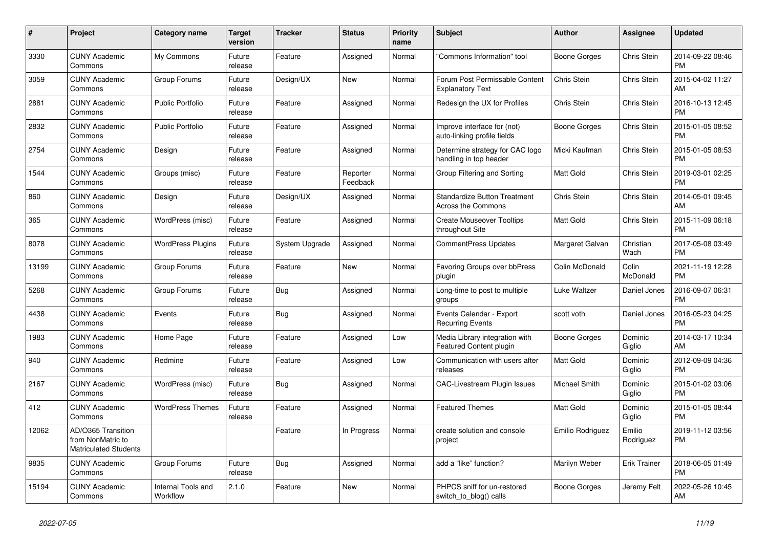| $\pmb{\#}$ | <b>Project</b>                                                          | <b>Category name</b>           | <b>Target</b><br>version | <b>Tracker</b> | <b>Status</b>        | Priority<br>name | <b>Subject</b>                                             | <b>Author</b>    | Assignee            | <b>Updated</b>                |
|------------|-------------------------------------------------------------------------|--------------------------------|--------------------------|----------------|----------------------|------------------|------------------------------------------------------------|------------------|---------------------|-------------------------------|
| 3330       | <b>CUNY Academic</b><br>Commons                                         | My Commons                     | Future<br>release        | Feature        | Assigned             | Normal           | 'Commons Information" tool                                 | Boone Gorges     | Chris Stein         | 2014-09-22 08:46<br><b>PM</b> |
| 3059       | <b>CUNY Academic</b><br>Commons                                         | Group Forums                   | Future<br>release        | Design/UX      | New                  | Normal           | Forum Post Permissable Content<br><b>Explanatory Text</b>  | Chris Stein      | Chris Stein         | 2015-04-02 11:27<br>AM        |
| 2881       | <b>CUNY Academic</b><br>Commons                                         | <b>Public Portfolio</b>        | Future<br>release        | Feature        | Assigned             | Normal           | Redesign the UX for Profiles                               | Chris Stein      | Chris Stein         | 2016-10-13 12:45<br><b>PM</b> |
| 2832       | <b>CUNY Academic</b><br>Commons                                         | <b>Public Portfolio</b>        | Future<br>release        | Feature        | Assigned             | Normal           | Improve interface for (not)<br>auto-linking profile fields | Boone Gorges     | Chris Stein         | 2015-01-05 08:52<br><b>PM</b> |
| 2754       | <b>CUNY Academic</b><br>Commons                                         | Design                         | Future<br>release        | Feature        | Assigned             | Normal           | Determine strategy for CAC logo<br>handling in top header  | Micki Kaufman    | Chris Stein         | 2015-01-05 08:53<br><b>PM</b> |
| 1544       | <b>CUNY Academic</b><br>Commons                                         | Groups (misc)                  | Future<br>release        | Feature        | Reporter<br>Feedback | Normal           | Group Filtering and Sorting                                | Matt Gold        | Chris Stein         | 2019-03-01 02:25<br><b>PM</b> |
| 860        | <b>CUNY Academic</b><br>Commons                                         | Design                         | Future<br>release        | Design/UX      | Assigned             | Normal           | <b>Standardize Button Treatment</b><br>Across the Commons  | Chris Stein      | <b>Chris Stein</b>  | 2014-05-01 09:45<br>AM        |
| 365        | <b>CUNY Academic</b><br>Commons                                         | WordPress (misc)               | Future<br>release        | Feature        | Assigned             | Normal           | <b>Create Mouseover Tooltips</b><br>throughout Site        | Matt Gold        | Chris Stein         | 2015-11-09 06:18<br><b>PM</b> |
| 8078       | <b>CUNY Academic</b><br>Commons                                         | <b>WordPress Plugins</b>       | Future<br>release        | System Upgrade | Assigned             | Normal           | <b>CommentPress Updates</b>                                | Margaret Galvan  | Christian<br>Wach   | 2017-05-08 03:49<br><b>PM</b> |
| 13199      | <b>CUNY Academic</b><br>Commons                                         | Group Forums                   | Future<br>release        | Feature        | <b>New</b>           | Normal           | <b>Favoring Groups over bbPress</b><br>plugin              | Colin McDonald   | Colin<br>McDonald   | 2021-11-19 12:28<br><b>PM</b> |
| 5268       | <b>CUNY Academic</b><br>Commons                                         | Group Forums                   | Future<br>release        | Bug            | Assigned             | Normal           | Long-time to post to multiple<br>groups                    | Luke Waltzer     | Daniel Jones        | 2016-09-07 06:31<br><b>PM</b> |
| 4438       | <b>CUNY Academic</b><br>Commons                                         | Events                         | Future<br>release        | Bug            | Assigned             | Normal           | Events Calendar - Export<br><b>Recurring Events</b>        | scott voth       | Daniel Jones        | 2016-05-23 04:25<br><b>PM</b> |
| 1983       | <b>CUNY Academic</b><br>Commons                                         | Home Page                      | Future<br>release        | Feature        | Assigned             | Low              | Media Library integration with<br>Featured Content plugin  | Boone Gorges     | Dominic<br>Giglio   | 2014-03-17 10:34<br>AM        |
| 940        | <b>CUNY Academic</b><br>Commons                                         | Redmine                        | Future<br>release        | Feature        | Assigned             | Low              | Communication with users after<br>releases                 | Matt Gold        | Dominic<br>Giglio   | 2012-09-09 04:36<br><b>PM</b> |
| 2167       | <b>CUNY Academic</b><br>Commons                                         | WordPress (misc)               | Future<br>release        | Bug            | Assigned             | Normal           | CAC-Livestream Plugin Issues                               | Michael Smith    | Dominic<br>Giglio   | 2015-01-02 03:06<br><b>PM</b> |
| 412        | <b>CUNY Academic</b><br>Commons                                         | <b>WordPress Themes</b>        | Future<br>release        | Feature        | Assigned             | Normal           | <b>Featured Themes</b>                                     | <b>Matt Gold</b> | Dominic<br>Giglio   | 2015-01-05 08:44<br><b>PM</b> |
| 12062      | AD/O365 Transition<br>from NonMatric to<br><b>Matriculated Students</b> |                                |                          | Feature        | In Progress          | Normal           | create solution and console<br>project                     | Emilio Rodriguez | Emilio<br>Rodriguez | 2019-11-12 03:56<br><b>PM</b> |
| 9835       | <b>CUNY Academic</b><br>Commons                                         | Group Forums                   | Future<br>release        | Bug            | Assigned             | Normal           | add a "like" function?                                     | Marilyn Weber    | Erik Trainer        | 2018-06-05 01:49<br><b>PM</b> |
| 15194      | CUNY Academic<br>Commons                                                | Internal Tools and<br>Workflow | 2.1.0                    | Feature        | <b>New</b>           | Normal           | PHPCS sniff for un-restored<br>switch_to_blog() calls      | Boone Gorges     | Jeremy Felt         | 2022-05-26 10:45<br>AM        |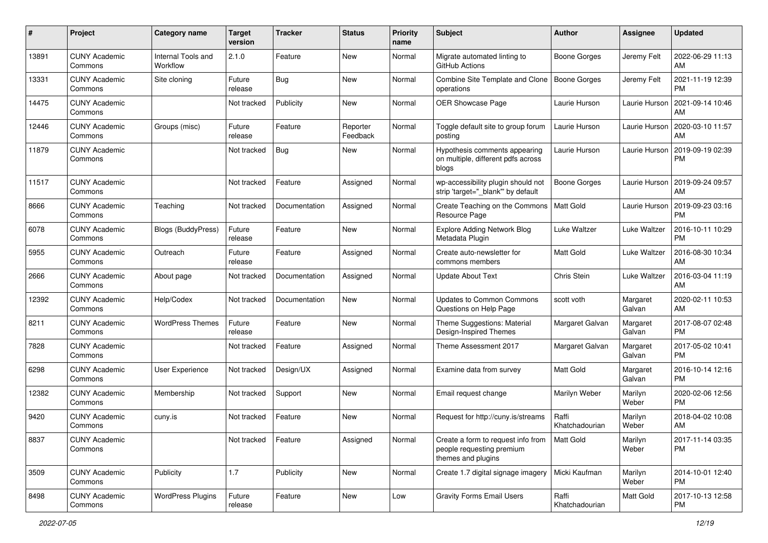| #     | Project                         | <b>Category name</b>           | <b>Target</b><br>version | <b>Tracker</b> | <b>Status</b>        | <b>Priority</b><br>name | <b>Subject</b>                                                                        | Author                  | <b>Assignee</b>     | <b>Updated</b>                |
|-------|---------------------------------|--------------------------------|--------------------------|----------------|----------------------|-------------------------|---------------------------------------------------------------------------------------|-------------------------|---------------------|-------------------------------|
| 13891 | <b>CUNY Academic</b><br>Commons | Internal Tools and<br>Workflow | 2.1.0                    | Feature        | New                  | Normal                  | Migrate automated linting to<br>GitHub Actions                                        | Boone Gorges            | Jeremy Felt         | 2022-06-29 11:13<br>AM        |
| 13331 | <b>CUNY Academic</b><br>Commons | Site cloning                   | Future<br>release        | Bug            | New                  | Normal                  | Combine Site Template and Clone<br>operations                                         | Boone Gorges            | Jeremy Felt         | 2021-11-19 12:39<br><b>PM</b> |
| 14475 | <b>CUNY Academic</b><br>Commons |                                | Not tracked              | Publicity      | New                  | Normal                  | OER Showcase Page                                                                     | Laurie Hurson           | Laurie Hurson       | 2021-09-14 10:46<br>AM        |
| 12446 | <b>CUNY Academic</b><br>Commons | Groups (misc)                  | Future<br>release        | Feature        | Reporter<br>Feedback | Normal                  | Toggle default site to group forum<br>posting                                         | Laurie Hurson           | Laurie Hurson       | 2020-03-10 11:57<br>AM        |
| 11879 | <b>CUNY Academic</b><br>Commons |                                | Not tracked              | Bug            | New                  | Normal                  | Hypothesis comments appearing<br>on multiple, different pdfs across<br>blogs          | Laurie Hurson           | Laurie Hurson       | 2019-09-19 02:39<br>PM        |
| 11517 | <b>CUNY Academic</b><br>Commons |                                | Not tracked              | Feature        | Assigned             | Normal                  | wp-accessibility plugin should not<br>strip 'target="_blank" by default               | Boone Gorges            | Laurie Hurson       | 2019-09-24 09:57<br>AM        |
| 8666  | <b>CUNY Academic</b><br>Commons | Teaching                       | Not tracked              | Documentation  | Assigned             | Normal                  | Create Teaching on the Commons<br>Resource Page                                       | <b>Matt Gold</b>        | Laurie Hurson       | 2019-09-23 03:16<br><b>PM</b> |
| 6078  | <b>CUNY Academic</b><br>Commons | Blogs (BuddyPress)             | Future<br>release        | Feature        | New                  | Normal                  | <b>Explore Adding Network Blog</b><br>Metadata Plugin                                 | Luke Waltzer            | Luke Waltzer        | 2016-10-11 10:29<br><b>PM</b> |
| 5955  | <b>CUNY Academic</b><br>Commons | Outreach                       | Future<br>release        | Feature        | Assigned             | Normal                  | Create auto-newsletter for<br>commons members                                         | <b>Matt Gold</b>        | <b>Luke Waltzer</b> | 2016-08-30 10:34<br>AM        |
| 2666  | <b>CUNY Academic</b><br>Commons | About page                     | Not tracked              | Documentation  | Assigned             | Normal                  | <b>Update About Text</b>                                                              | Chris Stein             | <b>Luke Waltzer</b> | 2016-03-04 11:19<br>AM        |
| 12392 | <b>CUNY Academic</b><br>Commons | Help/Codex                     | Not tracked              | Documentation  | New                  | Normal                  | <b>Updates to Common Commons</b><br>Questions on Help Page                            | scott voth              | Margaret<br>Galvan  | 2020-02-11 10:53<br>AM        |
| 8211  | <b>CUNY Academic</b><br>Commons | <b>WordPress Themes</b>        | Future<br>release        | Feature        | New                  | Normal                  | Theme Suggestions: Material<br>Design-Inspired Themes                                 | Margaret Galvan         | Margaret<br>Galvan  | 2017-08-07 02:48<br><b>PM</b> |
| 7828  | <b>CUNY Academic</b><br>Commons |                                | Not tracked              | Feature        | Assigned             | Normal                  | Theme Assessment 2017                                                                 | Margaret Galvan         | Margaret<br>Galvan  | 2017-05-02 10:41<br><b>PM</b> |
| 6298  | <b>CUNY Academic</b><br>Commons | <b>User Experience</b>         | Not tracked              | Design/UX      | Assigned             | Normal                  | Examine data from survey                                                              | <b>Matt Gold</b>        | Margaret<br>Galvan  | 2016-10-14 12:16<br><b>PM</b> |
| 12382 | <b>CUNY Academic</b><br>Commons | Membership                     | Not tracked              | Support        | New                  | Normal                  | Email request change                                                                  | Marilyn Weber           | Marilyn<br>Weber    | 2020-02-06 12:56<br><b>PM</b> |
| 9420  | <b>CUNY Academic</b><br>Commons | cuny.is                        | Not tracked              | Feature        | New                  | Normal                  | Request for http://cuny.is/streams                                                    | Raffi<br>Khatchadourian | Marilyn<br>Weber    | 2018-04-02 10:08<br>AM        |
| 8837  | <b>CUNY Academic</b><br>Commons |                                | Not tracked              | Feature        | Assigned             | Normal                  | Create a form to request info from<br>people requesting premium<br>themes and plugins | Matt Gold               | Marilyn<br>Weber    | 2017-11-14 03:35<br>PM        |
| 3509  | <b>CUNY Academic</b><br>Commons | Publicity                      | 1.7                      | Publicity      | New                  | Normal                  | Create 1.7 digital signage imagery                                                    | Micki Kaufman           | Marilyn<br>Weber    | 2014-10-01 12:40<br><b>PM</b> |
| 8498  | <b>CUNY Academic</b><br>Commons | <b>WordPress Plugins</b>       | Future<br>release        | Feature        | New                  | Low                     | <b>Gravity Forms Email Users</b>                                                      | Raffi<br>Khatchadourian | Matt Gold           | 2017-10-13 12:58<br><b>PM</b> |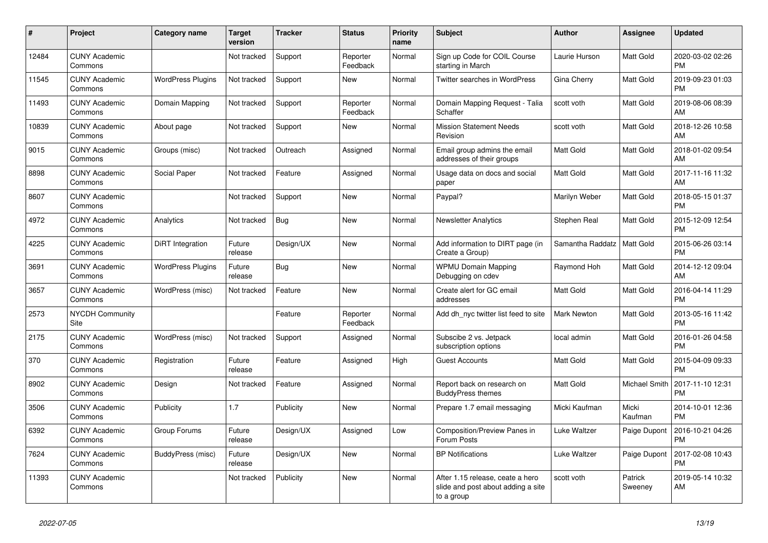| #     | <b>Project</b>                  | <b>Category name</b>     | <b>Target</b><br>version | <b>Tracker</b> | <b>Status</b>        | <b>Priority</b><br>name | <b>Subject</b>                                                                       | <b>Author</b>    | Assignee           | <b>Updated</b>                |
|-------|---------------------------------|--------------------------|--------------------------|----------------|----------------------|-------------------------|--------------------------------------------------------------------------------------|------------------|--------------------|-------------------------------|
| 12484 | <b>CUNY Academic</b><br>Commons |                          | Not tracked              | Support        | Reporter<br>Feedback | Normal                  | Sign up Code for COIL Course<br>starting in March                                    | Laurie Hurson    | Matt Gold          | 2020-03-02 02:26<br><b>PM</b> |
| 11545 | <b>CUNY Academic</b><br>Commons | <b>WordPress Plugins</b> | Not tracked              | Support        | New                  | Normal                  | <b>Twitter searches in WordPress</b>                                                 | Gina Cherry      | Matt Gold          | 2019-09-23 01:03<br><b>PM</b> |
| 11493 | <b>CUNY Academic</b><br>Commons | Domain Mapping           | Not tracked              | Support        | Reporter<br>Feedback | Normal                  | Domain Mapping Request - Talia<br>Schaffer                                           | scott voth       | Matt Gold          | 2019-08-06 08:39<br>AM        |
| 10839 | <b>CUNY Academic</b><br>Commons | About page               | Not tracked              | Support        | New                  | Normal                  | <b>Mission Statement Needs</b><br>Revision                                           | scott voth       | Matt Gold          | 2018-12-26 10:58<br>AM        |
| 9015  | <b>CUNY Academic</b><br>Commons | Groups (misc)            | Not tracked              | Outreach       | Assigned             | Normal                  | Email group admins the email<br>addresses of their groups                            | Matt Gold        | Matt Gold          | 2018-01-02 09:54<br>AM        |
| 8898  | <b>CUNY Academic</b><br>Commons | Social Paper             | Not tracked              | Feature        | Assigned             | Normal                  | Usage data on docs and social<br>paper                                               | Matt Gold        | Matt Gold          | 2017-11-16 11:32<br>AM        |
| 8607  | <b>CUNY Academic</b><br>Commons |                          | Not tracked              | Support        | New                  | Normal                  | Paypal?                                                                              | Marilyn Weber    | Matt Gold          | 2018-05-15 01:37<br><b>PM</b> |
| 4972  | <b>CUNY Academic</b><br>Commons | Analytics                | Not tracked              | Bug            | <b>New</b>           | Normal                  | <b>Newsletter Analytics</b>                                                          | Stephen Real     | Matt Gold          | 2015-12-09 12:54<br><b>PM</b> |
| 4225  | <b>CUNY Academic</b><br>Commons | DiRT Integration         | Future<br>release        | Design/UX      | New                  | Normal                  | Add information to DIRT page (in<br>Create a Group)                                  | Samantha Raddatz | Matt Gold          | 2015-06-26 03:14<br><b>PM</b> |
| 3691  | <b>CUNY Academic</b><br>Commons | <b>WordPress Plugins</b> | Future<br>release        | Bug            | <b>New</b>           | Normal                  | <b>WPMU Domain Mapping</b><br>Debugging on cdev                                      | Raymond Hoh      | Matt Gold          | 2014-12-12 09:04<br>AM        |
| 3657  | <b>CUNY Academic</b><br>Commons | WordPress (misc)         | Not tracked              | Feature        | <b>New</b>           | Normal                  | Create alert for GC email<br>addresses                                               | Matt Gold        | Matt Gold          | 2016-04-14 11:29<br><b>PM</b> |
| 2573  | <b>NYCDH Community</b><br>Site  |                          |                          | Feature        | Reporter<br>Feedback | Normal                  | Add dh nyc twitter list feed to site                                                 | Mark Newton      | Matt Gold          | 2013-05-16 11:42<br><b>PM</b> |
| 2175  | <b>CUNY Academic</b><br>Commons | WordPress (misc)         | Not tracked              | Support        | Assigned             | Normal                  | Subscibe 2 vs. Jetpack<br>subscription options                                       | local admin      | Matt Gold          | 2016-01-26 04:58<br><b>PM</b> |
| 370   | <b>CUNY Academic</b><br>Commons | Registration             | Future<br>release        | Feature        | Assigned             | High                    | Guest Accounts                                                                       | <b>Matt Gold</b> | Matt Gold          | 2015-04-09 09:33<br><b>PM</b> |
| 8902  | <b>CUNY Academic</b><br>Commons | Design                   | Not tracked              | Feature        | Assigned             | Normal                  | Report back on research on<br><b>BuddyPress themes</b>                               | <b>Matt Gold</b> | Michael Smith      | 2017-11-10 12:31<br><b>PM</b> |
| 3506  | <b>CUNY Academic</b><br>Commons | Publicity                | 1.7                      | Publicity      | New                  | Normal                  | Prepare 1.7 email messaging                                                          | Micki Kaufman    | Micki<br>Kaufman   | 2014-10-01 12:36<br><b>PM</b> |
| 6392  | <b>CUNY Academic</b><br>Commons | Group Forums             | Future<br>release        | Design/UX      | Assigned             | Low                     | Composition/Preview Panes in<br>Forum Posts                                          | Luke Waltzer     | Paige Dupont       | 2016-10-21 04:26<br><b>PM</b> |
| 7624  | <b>CUNY Academic</b><br>Commons | BuddyPress (misc)        | Future<br>release        | Design/UX      | <b>New</b>           | Normal                  | <b>BP</b> Notifications                                                              | Luke Waltzer     | Paige Dupont       | 2017-02-08 10:43<br><b>PM</b> |
| 11393 | <b>CUNY Academic</b><br>Commons |                          | Not tracked              | Publicity      | <b>New</b>           | Normal                  | After 1.15 release, ceate a hero<br>slide and post about adding a site<br>to a group | scott voth       | Patrick<br>Sweeney | 2019-05-14 10:32<br>AM        |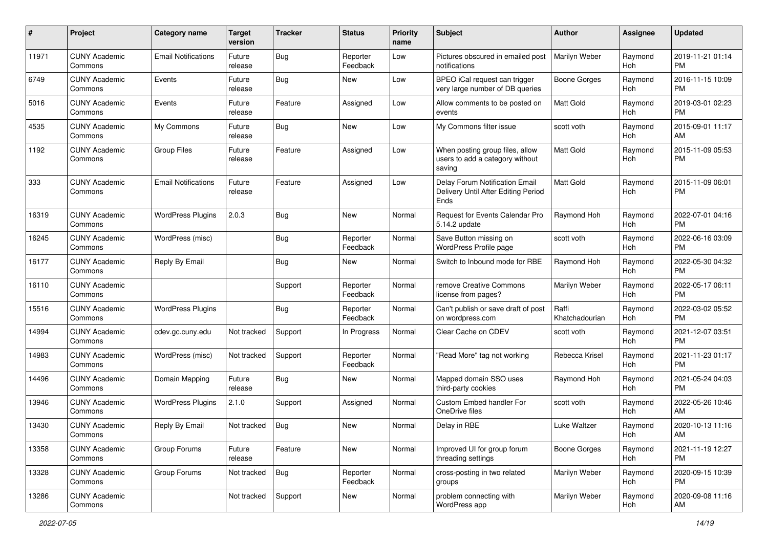| #     | Project                         | <b>Category name</b>       | <b>Target</b><br>version | <b>Tracker</b> | <b>Status</b>        | <b>Priority</b><br>name | <b>Subject</b>                                                                | Author                  | <b>Assignee</b> | <b>Updated</b>                |
|-------|---------------------------------|----------------------------|--------------------------|----------------|----------------------|-------------------------|-------------------------------------------------------------------------------|-------------------------|-----------------|-------------------------------|
| 11971 | <b>CUNY Academic</b><br>Commons | <b>Email Notifications</b> | Future<br>release        | <b>Bug</b>     | Reporter<br>Feedback | Low                     | Pictures obscured in emailed post<br>notifications                            | Marilyn Weber           | Raymond<br>Hoh  | 2019-11-21 01:14<br><b>PM</b> |
| 6749  | <b>CUNY Academic</b><br>Commons | Events                     | Future<br>release        | Bug            | New                  | Low                     | BPEO iCal request can trigger<br>very large number of DB queries              | <b>Boone Gorges</b>     | Raymond<br>Hoh  | 2016-11-15 10:09<br><b>PM</b> |
| 5016  | <b>CUNY Academic</b><br>Commons | Events                     | Future<br>release        | Feature        | Assigned             | Low                     | Allow comments to be posted on<br>events                                      | <b>Matt Gold</b>        | Raymond<br>Hoh  | 2019-03-01 02:23<br><b>PM</b> |
| 4535  | <b>CUNY Academic</b><br>Commons | My Commons                 | Future<br>release        | <b>Bug</b>     | New                  | Low                     | My Commons filter issue                                                       | scott voth              | Raymond<br>Hoh  | 2015-09-01 11:17<br>AM        |
| 1192  | <b>CUNY Academic</b><br>Commons | <b>Group Files</b>         | Future<br>release        | Feature        | Assigned             | Low                     | When posting group files, allow<br>users to add a category without<br>saving  | Matt Gold               | Raymond<br>Hoh  | 2015-11-09 05:53<br><b>PM</b> |
| 333   | <b>CUNY Academic</b><br>Commons | <b>Email Notifications</b> | Future<br>release        | Feature        | Assigned             | Low                     | Delay Forum Notification Email<br>Delivery Until After Editing Period<br>Ends | <b>Matt Gold</b>        | Raymond<br>Hoh  | 2015-11-09 06:01<br><b>PM</b> |
| 16319 | <b>CUNY Academic</b><br>Commons | <b>WordPress Plugins</b>   | 2.0.3                    | Bug            | New                  | Normal                  | <b>Request for Events Calendar Pro</b><br>5.14.2 update                       | Raymond Hoh             | Raymond<br>Hoh  | 2022-07-01 04:16<br><b>PM</b> |
| 16245 | <b>CUNY Academic</b><br>Commons | WordPress (misc)           |                          | Bug            | Reporter<br>Feedback | Normal                  | Save Button missing on<br>WordPress Profile page                              | scott voth              | Raymond<br>Hoh  | 2022-06-16 03:09<br><b>PM</b> |
| 16177 | <b>CUNY Academic</b><br>Commons | Reply By Email             |                          | <b>Bug</b>     | New                  | Normal                  | Switch to Inbound mode for RBE                                                | Raymond Hoh             | Raymond<br>Hoh  | 2022-05-30 04:32<br><b>PM</b> |
| 16110 | <b>CUNY Academic</b><br>Commons |                            |                          | Support        | Reporter<br>Feedback | Normal                  | remove Creative Commons<br>license from pages?                                | Marilyn Weber           | Raymond<br>Hoh  | 2022-05-17 06:11<br><b>PM</b> |
| 15516 | <b>CUNY Academic</b><br>Commons | <b>WordPress Plugins</b>   |                          | Bug            | Reporter<br>Feedback | Normal                  | Can't publish or save draft of post<br>on wordpress.com                       | Raffi<br>Khatchadourian | Raymond<br>Hoh  | 2022-03-02 05:52<br><b>PM</b> |
| 14994 | <b>CUNY Academic</b><br>Commons | cdev.gc.cuny.edu           | Not tracked              | Support        | In Progress          | Normal                  | Clear Cache on CDEV                                                           | scott voth              | Raymond<br>Hoh  | 2021-12-07 03:51<br><b>PM</b> |
| 14983 | <b>CUNY Academic</b><br>Commons | WordPress (misc)           | Not tracked              | Support        | Reporter<br>Feedback | Normal                  | "Read More" tag not working                                                   | Rebecca Krisel          | Raymond<br>Hoh  | 2021-11-23 01:17<br><b>PM</b> |
| 14496 | <b>CUNY Academic</b><br>Commons | Domain Mapping             | Future<br>release        | Bug            | New                  | Normal                  | Mapped domain SSO uses<br>third-party cookies                                 | Raymond Hoh             | Raymond<br>Hoh  | 2021-05-24 04:03<br><b>PM</b> |
| 13946 | <b>CUNY Academic</b><br>Commons | <b>WordPress Plugins</b>   | 2.1.0                    | Support        | Assigned             | Normal                  | Custom Embed handler For<br>OneDrive files                                    | scott voth              | Raymond<br>Hoh  | 2022-05-26 10:46<br>AM        |
| 13430 | <b>CUNY Academic</b><br>Commons | Reply By Email             | Not tracked              | Bug            | New                  | Normal                  | Delay in RBE                                                                  | Luke Waltzer            | Raymond<br>Hoh  | 2020-10-13 11:16<br>AM        |
| 13358 | <b>CUNY Academic</b><br>Commons | Group Forums               | Future<br>release        | Feature        | New                  | Normal                  | Improved UI for group forum<br>threading settings                             | <b>Boone Gorges</b>     | Raymond<br>Hoh  | 2021-11-19 12:27<br><b>PM</b> |
| 13328 | <b>CUNY Academic</b><br>Commons | Group Forums               | Not tracked              | Bug            | Reporter<br>Feedback | Normal                  | cross-posting in two related<br>groups                                        | Marilyn Weber           | Raymond<br>Hoh  | 2020-09-15 10:39<br><b>PM</b> |
| 13286 | <b>CUNY Academic</b><br>Commons |                            | Not tracked              | Support        | New                  | Normal                  | problem connecting with<br>WordPress app                                      | Marilyn Weber           | Raymond<br>Hoh  | 2020-09-08 11:16<br>AM        |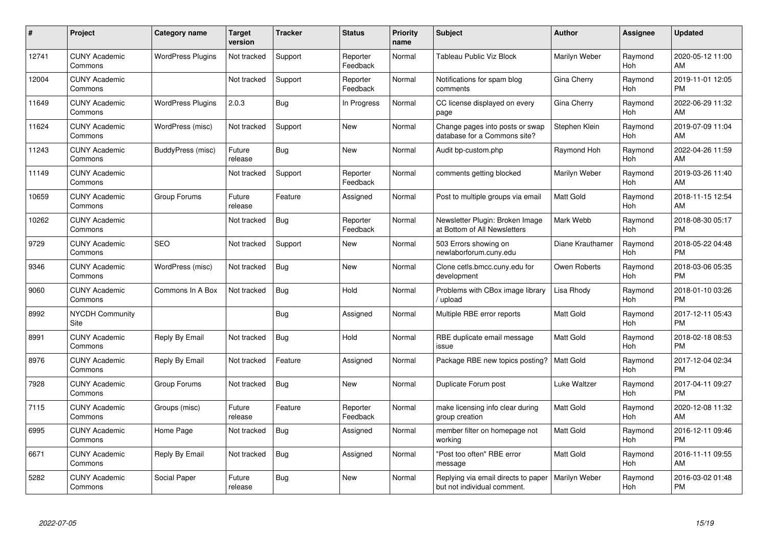| #     | Project                         | <b>Category name</b>     | <b>Target</b><br>version | <b>Tracker</b> | <b>Status</b>        | Priority<br>name | <b>Subject</b>                                                     | <b>Author</b>    | <b>Assignee</b>       | <b>Updated</b>                |
|-------|---------------------------------|--------------------------|--------------------------|----------------|----------------------|------------------|--------------------------------------------------------------------|------------------|-----------------------|-------------------------------|
| 12741 | <b>CUNY Academic</b><br>Commons | <b>WordPress Plugins</b> | Not tracked              | Support        | Reporter<br>Feedback | Normal           | Tableau Public Viz Block                                           | Marilyn Weber    | Raymond<br>Hoh        | 2020-05-12 11:00<br>AM        |
| 12004 | <b>CUNY Academic</b><br>Commons |                          | Not tracked              | Support        | Reporter<br>Feedback | Normal           | Notifications for spam blog<br>comments                            | Gina Cherry      | Raymond<br>Hoh        | 2019-11-01 12:05<br><b>PM</b> |
| 11649 | <b>CUNY Academic</b><br>Commons | <b>WordPress Plugins</b> | 2.0.3                    | Bug            | In Progress          | Normal           | CC license displayed on every<br>page                              | Gina Cherry      | Raymond<br>Hoh        | 2022-06-29 11:32<br>AM        |
| 11624 | <b>CUNY Academic</b><br>Commons | WordPress (misc)         | Not tracked              | Support        | New                  | Normal           | Change pages into posts or swap<br>database for a Commons site?    | Stephen Klein    | Raymond<br>Hoh        | 2019-07-09 11:04<br>AM        |
| 11243 | <b>CUNY Academic</b><br>Commons | BuddyPress (misc)        | Future<br>release        | <b>Bug</b>     | <b>New</b>           | Normal           | Audit bp-custom.php                                                | Raymond Hoh      | Raymond<br>Hoh        | 2022-04-26 11:59<br>AM        |
| 11149 | <b>CUNY Academic</b><br>Commons |                          | Not tracked              | Support        | Reporter<br>Feedback | Normal           | comments getting blocked                                           | Marilyn Weber    | Raymond<br>Hoh        | 2019-03-26 11:40<br>AM        |
| 10659 | <b>CUNY Academic</b><br>Commons | Group Forums             | Future<br>release        | Feature        | Assigned             | Normal           | Post to multiple groups via email                                  | <b>Matt Gold</b> | Raymond<br>Hoh        | 2018-11-15 12:54<br>AM        |
| 10262 | <b>CUNY Academic</b><br>Commons |                          | Not tracked              | Bug            | Reporter<br>Feedback | Normal           | Newsletter Plugin: Broken Image<br>at Bottom of All Newsletters    | Mark Webb        | Raymond<br><b>Hoh</b> | 2018-08-30 05:17<br><b>PM</b> |
| 9729  | <b>CUNY Academic</b><br>Commons | <b>SEO</b>               | Not tracked              | Support        | New                  | Normal           | 503 Errors showing on<br>newlaborforum.cuny.edu                    | Diane Krauthamer | Raymond<br>Hoh        | 2018-05-22 04:48<br><b>PM</b> |
| 9346  | <b>CUNY Academic</b><br>Commons | WordPress (misc)         | Not tracked              | Bug            | <b>New</b>           | Normal           | Clone cetls.bmcc.cuny.edu for<br>development                       | Owen Roberts     | Raymond<br>Hoh        | 2018-03-06 05:35<br><b>PM</b> |
| 9060  | <b>CUNY Academic</b><br>Commons | Commons In A Box         | Not tracked              | Bug            | Hold                 | Normal           | Problems with CBox image library<br>/ upload                       | Lisa Rhody       | Raymond<br>Hoh        | 2018-01-10 03:26<br><b>PM</b> |
| 8992  | <b>NYCDH Community</b><br>Site  |                          |                          | <b>Bug</b>     | Assigned             | Normal           | Multiple RBE error reports                                         | Matt Gold        | Raymond<br>Hoh        | 2017-12-11 05:43<br><b>PM</b> |
| 8991  | <b>CUNY Academic</b><br>Commons | Reply By Email           | Not tracked              | Bug            | Hold                 | Normal           | RBE duplicate email message<br>issue                               | <b>Matt Gold</b> | Raymond<br>Hoh        | 2018-02-18 08:53<br><b>PM</b> |
| 8976  | <b>CUNY Academic</b><br>Commons | Reply By Email           | Not tracked              | Feature        | Assigned             | Normal           | Package RBE new topics posting?                                    | <b>Matt Gold</b> | Raymond<br>Hoh        | 2017-12-04 02:34<br><b>PM</b> |
| 7928  | <b>CUNY Academic</b><br>Commons | Group Forums             | Not tracked              | Bug            | New                  | Normal           | Duplicate Forum post                                               | Luke Waltzer     | Raymond<br>Hoh        | 2017-04-11 09:27<br><b>PM</b> |
| 7115  | <b>CUNY Academic</b><br>Commons | Groups (misc)            | Future<br>release        | Feature        | Reporter<br>Feedback | Normal           | make licensing info clear during<br>group creation                 | <b>Matt Gold</b> | Raymond<br>Hoh        | 2020-12-08 11:32<br>AM        |
| 6995  | <b>CUNY Academic</b><br>Commons | Home Page                | Not tracked              | <b>Bug</b>     | Assigned             | Normal           | member filter on homepage not<br>working                           | <b>Matt Gold</b> | Raymond<br>Hoh        | 2016-12-11 09:46<br><b>PM</b> |
| 6671  | <b>CUNY Academic</b><br>Commons | Reply By Email           | Not tracked              | Bug            | Assigned             | Normal           | "Post too often" RBE error<br>message                              | <b>Matt Gold</b> | Raymond<br>Hoh        | 2016-11-11 09:55<br>AM        |
| 5282  | <b>CUNY Academic</b><br>Commons | Social Paper             | Future<br>release        | <b>Bug</b>     | <b>New</b>           | Normal           | Replying via email directs to paper<br>but not individual comment. | Marilyn Weber    | Raymond<br>Hoh        | 2016-03-02 01:48<br><b>PM</b> |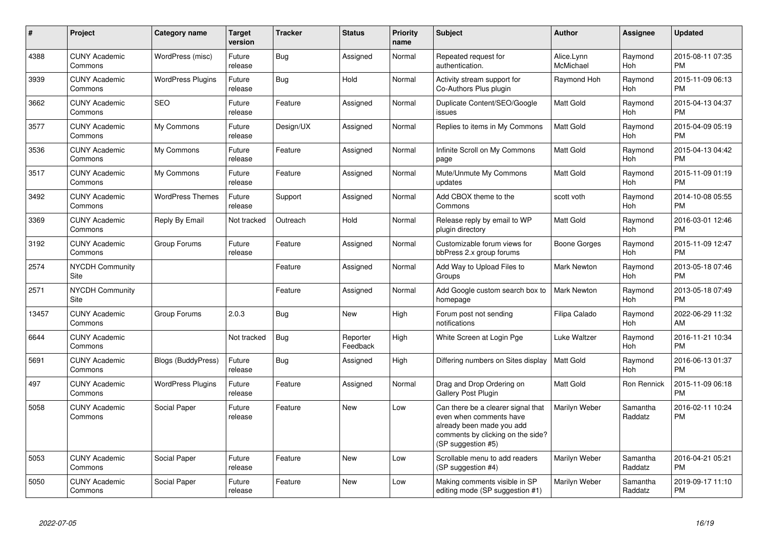| #     | <b>Project</b>                  | <b>Category name</b>      | <b>Target</b><br>version | <b>Tracker</b> | <b>Status</b>        | Priority<br>name | <b>Subject</b>                                                                                                                                        | <b>Author</b>           | Assignee              | <b>Updated</b>                |
|-------|---------------------------------|---------------------------|--------------------------|----------------|----------------------|------------------|-------------------------------------------------------------------------------------------------------------------------------------------------------|-------------------------|-----------------------|-------------------------------|
| 4388  | <b>CUNY Academic</b><br>Commons | WordPress (misc)          | Future<br>release        | Bug            | Assigned             | Normal           | Repeated request for<br>authentication.                                                                                                               | Alice.Lynn<br>McMichael | Raymond<br>Hoh        | 2015-08-11 07:35<br><b>PM</b> |
| 3939  | <b>CUNY Academic</b><br>Commons | <b>WordPress Plugins</b>  | Future<br>release        | Bug            | Hold                 | Normal           | Activity stream support for<br>Co-Authors Plus plugin                                                                                                 | Raymond Hoh             | Raymond<br>Hoh        | 2015-11-09 06:13<br><b>PM</b> |
| 3662  | <b>CUNY Academic</b><br>Commons | <b>SEO</b>                | Future<br>release        | Feature        | Assigned             | Normal           | Duplicate Content/SEO/Google<br>issues                                                                                                                | <b>Matt Gold</b>        | Raymond<br>Hoh        | 2015-04-13 04:37<br><b>PM</b> |
| 3577  | <b>CUNY Academic</b><br>Commons | My Commons                | Future<br>release        | Design/UX      | Assigned             | Normal           | Replies to items in My Commons                                                                                                                        | <b>Matt Gold</b>        | Raymond<br>Hoh        | 2015-04-09 05:19<br><b>PM</b> |
| 3536  | <b>CUNY Academic</b><br>Commons | My Commons                | Future<br>release        | Feature        | Assigned             | Normal           | Infinite Scroll on My Commons<br>page                                                                                                                 | <b>Matt Gold</b>        | Raymond<br>Hoh        | 2015-04-13 04:42<br><b>PM</b> |
| 3517  | <b>CUNY Academic</b><br>Commons | My Commons                | Future<br>release        | Feature        | Assigned             | Normal           | Mute/Unmute My Commons<br>updates                                                                                                                     | <b>Matt Gold</b>        | Raymond<br>Hoh        | 2015-11-09 01:19<br><b>PM</b> |
| 3492  | <b>CUNY Academic</b><br>Commons | <b>WordPress Themes</b>   | Future<br>release        | Support        | Assigned             | Normal           | Add CBOX theme to the<br>Commons                                                                                                                      | scott voth              | Raymond<br>Hoh        | 2014-10-08 05:55<br><b>PM</b> |
| 3369  | <b>CUNY Academic</b><br>Commons | Reply By Email            | Not tracked              | Outreach       | Hold                 | Normal           | Release reply by email to WP<br>plugin directory                                                                                                      | <b>Matt Gold</b>        | Raymond<br>Hoh        | 2016-03-01 12:46<br><b>PM</b> |
| 3192  | <b>CUNY Academic</b><br>Commons | Group Forums              | Future<br>release        | Feature        | Assigned             | Normal           | Customizable forum views for<br>bbPress 2.x group forums                                                                                              | Boone Gorges            | Raymond<br><b>Hoh</b> | 2015-11-09 12:47<br><b>PM</b> |
| 2574  | <b>NYCDH Community</b><br>Site  |                           |                          | Feature        | Assigned             | Normal           | Add Way to Upload Files to<br>Groups                                                                                                                  | Mark Newton             | Raymond<br>Hoh        | 2013-05-18 07:46<br><b>PM</b> |
| 2571  | <b>NYCDH Community</b><br>Site  |                           |                          | Feature        | Assigned             | Normal           | Add Google custom search box to<br>homepage                                                                                                           | Mark Newton             | Raymond<br>Hoh        | 2013-05-18 07:49<br><b>PM</b> |
| 13457 | <b>CUNY Academic</b><br>Commons | Group Forums              | 2.0.3                    | Bug            | New                  | High             | Forum post not sending<br>notifications                                                                                                               | Filipa Calado           | Raymond<br>Hoh        | 2022-06-29 11:32<br>AM        |
| 6644  | <b>CUNY Academic</b><br>Commons |                           | Not tracked              | Bug            | Reporter<br>Feedback | High             | White Screen at Login Pge                                                                                                                             | Luke Waltzer            | Raymond<br>Hoh        | 2016-11-21 10:34<br><b>PM</b> |
| 5691  | <b>CUNY Academic</b><br>Commons | <b>Blogs (BuddyPress)</b> | Future<br>release        | <b>Bug</b>     | Assigned             | High             | Differing numbers on Sites display                                                                                                                    | <b>Matt Gold</b>        | Raymond<br>Hoh        | 2016-06-13 01:37<br><b>PM</b> |
| 497   | <b>CUNY Academic</b><br>Commons | <b>WordPress Plugins</b>  | Future<br>release        | Feature        | Assigned             | Normal           | Drag and Drop Ordering on<br><b>Gallery Post Plugin</b>                                                                                               | <b>Matt Gold</b>        | <b>Ron Rennick</b>    | 2015-11-09 06:18<br><b>PM</b> |
| 5058  | <b>CUNY Academic</b><br>Commons | Social Paper              | Future<br>release        | Feature        | New                  | Low              | Can there be a clearer signal that<br>even when comments have<br>already been made you add<br>comments by clicking on the side?<br>(SP suggestion #5) | Marilyn Weber           | Samantha<br>Raddatz   | 2016-02-11 10:24<br><b>PM</b> |
| 5053  | <b>CUNY Academic</b><br>Commons | Social Paper              | Future<br>release        | Feature        | <b>New</b>           | Low              | Scrollable menu to add readers<br>(SP suggestion #4)                                                                                                  | Marilyn Weber           | Samantha<br>Raddatz   | 2016-04-21 05:21<br><b>PM</b> |
| 5050  | <b>CUNY Academic</b><br>Commons | Social Paper              | Future<br>release        | Feature        | <b>New</b>           | Low              | Making comments visible in SP<br>editing mode (SP suggestion #1)                                                                                      | Marilyn Weber           | Samantha<br>Raddatz   | 2019-09-17 11:10<br><b>PM</b> |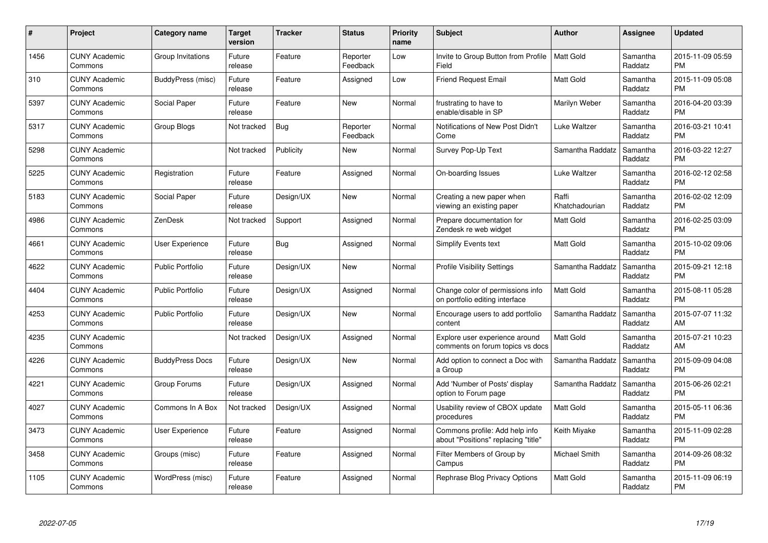| #    | Project                         | <b>Category name</b>    | <b>Target</b><br>version | <b>Tracker</b> | <b>Status</b>        | <b>Priority</b><br>name | <b>Subject</b>                                                        | <b>Author</b>           | Assignee            | <b>Updated</b>                |
|------|---------------------------------|-------------------------|--------------------------|----------------|----------------------|-------------------------|-----------------------------------------------------------------------|-------------------------|---------------------|-------------------------------|
| 1456 | <b>CUNY Academic</b><br>Commons | Group Invitations       | Future<br>release        | Feature        | Reporter<br>Feedback | Low                     | Invite to Group Button from Profile<br>Field                          | <b>Matt Gold</b>        | Samantha<br>Raddatz | 2015-11-09 05:59<br><b>PM</b> |
| 310  | <b>CUNY Academic</b><br>Commons | BuddyPress (misc)       | Future<br>release        | Feature        | Assigned             | Low                     | <b>Friend Request Email</b>                                           | <b>Matt Gold</b>        | Samantha<br>Raddatz | 2015-11-09 05:08<br><b>PM</b> |
| 5397 | <b>CUNY Academic</b><br>Commons | Social Paper            | Future<br>release        | Feature        | <b>New</b>           | Normal                  | frustrating to have to<br>enable/disable in SP                        | Marilyn Weber           | Samantha<br>Raddatz | 2016-04-20 03:39<br><b>PM</b> |
| 5317 | <b>CUNY Academic</b><br>Commons | Group Blogs             | Not tracked              | <b>Bug</b>     | Reporter<br>Feedback | Normal                  | Notifications of New Post Didn't<br>Come                              | Luke Waltzer            | Samantha<br>Raddatz | 2016-03-21 10:41<br><b>PM</b> |
| 5298 | <b>CUNY Academic</b><br>Commons |                         | Not tracked              | Publicity      | <b>New</b>           | Normal                  | Survey Pop-Up Text                                                    | Samantha Raddatz        | Samantha<br>Raddatz | 2016-03-22 12:27<br><b>PM</b> |
| 5225 | <b>CUNY Academic</b><br>Commons | Registration            | Future<br>release        | Feature        | Assigned             | Normal                  | On-boarding Issues                                                    | <b>Luke Waltzer</b>     | Samantha<br>Raddatz | 2016-02-12 02:58<br><b>PM</b> |
| 5183 | <b>CUNY Academic</b><br>Commons | Social Paper            | Future<br>release        | Design/UX      | <b>New</b>           | Normal                  | Creating a new paper when<br>viewing an existing paper                | Raffi<br>Khatchadourian | Samantha<br>Raddatz | 2016-02-02 12:09<br><b>PM</b> |
| 4986 | <b>CUNY Academic</b><br>Commons | ZenDesk                 | Not tracked              | Support        | Assigned             | Normal                  | Prepare documentation for<br>Zendesk re web widget                    | <b>Matt Gold</b>        | Samantha<br>Raddatz | 2016-02-25 03:09<br><b>PM</b> |
| 4661 | <b>CUNY Academic</b><br>Commons | <b>User Experience</b>  | Future<br>release        | Bug            | Assigned             | Normal                  | Simplify Events text                                                  | <b>Matt Gold</b>        | Samantha<br>Raddatz | 2015-10-02 09:06<br><b>PM</b> |
| 4622 | <b>CUNY Academic</b><br>Commons | <b>Public Portfolio</b> | Future<br>release        | Design/UX      | <b>New</b>           | Normal                  | <b>Profile Visibility Settings</b>                                    | Samantha Raddatz        | Samantha<br>Raddatz | 2015-09-21 12:18<br><b>PM</b> |
| 4404 | <b>CUNY Academic</b><br>Commons | <b>Public Portfolio</b> | Future<br>release        | Design/UX      | Assigned             | Normal                  | Change color of permissions info<br>on portfolio editing interface    | Matt Gold               | Samantha<br>Raddatz | 2015-08-11 05:28<br><b>PM</b> |
| 4253 | <b>CUNY Academic</b><br>Commons | <b>Public Portfolio</b> | Future<br>release        | Design/UX      | <b>New</b>           | Normal                  | Encourage users to add portfolio<br>content                           | Samantha Raddatz        | Samantha<br>Raddatz | 2015-07-07 11:32<br>AM        |
| 4235 | <b>CUNY Academic</b><br>Commons |                         | Not tracked              | Design/UX      | Assigned             | Normal                  | Explore user experience around<br>comments on forum topics vs docs    | <b>Matt Gold</b>        | Samantha<br>Raddatz | 2015-07-21 10:23<br>AM        |
| 4226 | <b>CUNY Academic</b><br>Commons | <b>BuddyPress Docs</b>  | Future<br>release        | Design/UX      | New                  | Normal                  | Add option to connect a Doc with<br>a Group                           | Samantha Raddatz        | Samantha<br>Raddatz | 2015-09-09 04:08<br><b>PM</b> |
| 4221 | <b>CUNY Academic</b><br>Commons | Group Forums            | Future<br>release        | Design/UX      | Assigned             | Normal                  | Add 'Number of Posts' display<br>option to Forum page                 | Samantha Raddatz        | Samantha<br>Raddatz | 2015-06-26 02:21<br><b>PM</b> |
| 4027 | <b>CUNY Academic</b><br>Commons | Commons In A Box        | Not tracked              | Design/UX      | Assigned             | Normal                  | Usability review of CBOX update<br>procedures                         | <b>Matt Gold</b>        | Samantha<br>Raddatz | 2015-05-11 06:36<br><b>PM</b> |
| 3473 | <b>CUNY Academic</b><br>Commons | User Experience         | Future<br>release        | Feature        | Assigned             | Normal                  | Commons profile: Add help info<br>about "Positions" replacing "title" | Keith Miyake            | Samantha<br>Raddatz | 2015-11-09 02:28<br><b>PM</b> |
| 3458 | <b>CUNY Academic</b><br>Commons | Groups (misc)           | Future<br>release        | Feature        | Assigned             | Normal                  | Filter Members of Group by<br>Campus                                  | Michael Smith           | Samantha<br>Raddatz | 2014-09-26 08:32<br><b>PM</b> |
| 1105 | <b>CUNY Academic</b><br>Commons | WordPress (misc)        | Future<br>release        | Feature        | Assigned             | Normal                  | Rephrase Blog Privacy Options                                         | <b>Matt Gold</b>        | Samantha<br>Raddatz | 2015-11-09 06:19<br><b>PM</b> |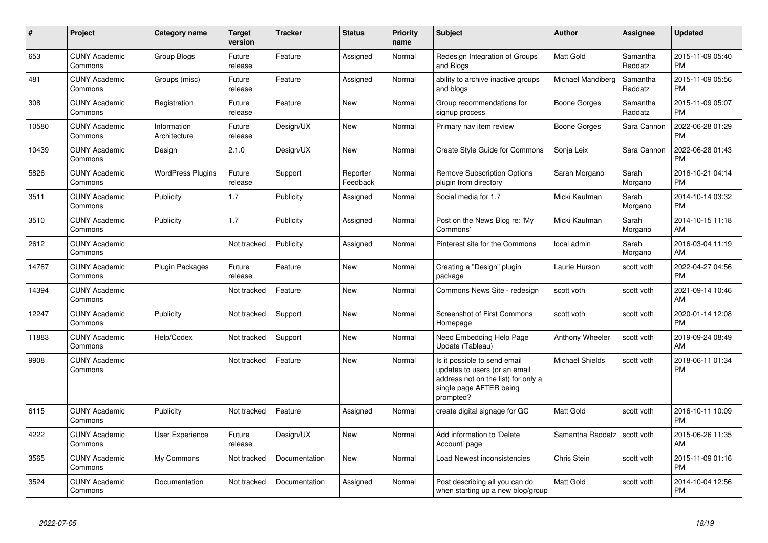| #     | <b>Project</b>                  | <b>Category name</b>        | <b>Target</b><br>version | <b>Tracker</b> | <b>Status</b>        | Priority<br>name | <b>Subject</b>                                                                                                                               | <b>Author</b>          | Assignee            | <b>Updated</b>                |
|-------|---------------------------------|-----------------------------|--------------------------|----------------|----------------------|------------------|----------------------------------------------------------------------------------------------------------------------------------------------|------------------------|---------------------|-------------------------------|
| 653   | <b>CUNY Academic</b><br>Commons | Group Blogs                 | Future<br>release        | Feature        | Assigned             | Normal           | Redesign Integration of Groups<br>and Blogs                                                                                                  | <b>Matt Gold</b>       | Samantha<br>Raddatz | 2015-11-09 05:40<br><b>PM</b> |
| 481   | <b>CUNY Academic</b><br>Commons | Groups (misc)               | Future<br>release        | Feature        | Assigned             | Normal           | ability to archive inactive groups<br>and blogs                                                                                              | Michael Mandiberg      | Samantha<br>Raddatz | 2015-11-09 05:56<br><b>PM</b> |
| 308   | <b>CUNY Academic</b><br>Commons | Registration                | Future<br>release        | Feature        | <b>New</b>           | Normal           | Group recommendations for<br>signup process                                                                                                  | Boone Gorges           | Samantha<br>Raddatz | 2015-11-09 05:07<br><b>PM</b> |
| 10580 | <b>CUNY Academic</b><br>Commons | Information<br>Architecture | Future<br>release        | Design/UX      | <b>New</b>           | Normal           | Primary nav item review                                                                                                                      | Boone Gorges           | Sara Cannon         | 2022-06-28 01:29<br><b>PM</b> |
| 10439 | <b>CUNY Academic</b><br>Commons | Design                      | 2.1.0                    | Design/UX      | New                  | Normal           | Create Style Guide for Commons                                                                                                               | Sonja Leix             | Sara Cannon         | 2022-06-28 01:43<br><b>PM</b> |
| 5826  | <b>CUNY Academic</b><br>Commons | <b>WordPress Plugins</b>    | Future<br>release        | Support        | Reporter<br>Feedback | Normal           | <b>Remove Subscription Options</b><br>plugin from directory                                                                                  | Sarah Morgano          | Sarah<br>Morgano    | 2016-10-21 04:14<br><b>PM</b> |
| 3511  | <b>CUNY Academic</b><br>Commons | Publicity                   | 1.7                      | Publicity      | Assigned             | Normal           | Social media for 1.7                                                                                                                         | Micki Kaufman          | Sarah<br>Morgano    | 2014-10-14 03:32<br><b>PM</b> |
| 3510  | <b>CUNY Academic</b><br>Commons | Publicity                   | 1.7                      | Publicity      | Assigned             | Normal           | Post on the News Blog re: 'My<br>Commons'                                                                                                    | Micki Kaufman          | Sarah<br>Morgano    | 2014-10-15 11:18<br>AM        |
| 2612  | <b>CUNY Academic</b><br>Commons |                             | Not tracked              | Publicity      | Assigned             | Normal           | Pinterest site for the Commons                                                                                                               | local admin            | Sarah<br>Morgano    | 2016-03-04 11:19<br>AM        |
| 14787 | <b>CUNY Academic</b><br>Commons | Plugin Packages             | Future<br>release        | Feature        | <b>New</b>           | Normal           | Creating a "Design" plugin<br>package                                                                                                        | Laurie Hurson          | scott voth          | 2022-04-27 04:56<br><b>PM</b> |
| 14394 | <b>CUNY Academic</b><br>Commons |                             | Not tracked              | Feature        | New                  | Normal           | Commons News Site - redesign                                                                                                                 | scott voth             | scott voth          | 2021-09-14 10:46<br>AM        |
| 12247 | <b>CUNY Academic</b><br>Commons | Publicity                   | Not tracked              | Support        | New                  | Normal           | <b>Screenshot of First Commons</b><br>Homepage                                                                                               | scott voth             | scott voth          | 2020-01-14 12:08<br><b>PM</b> |
| 11883 | <b>CUNY Academic</b><br>Commons | Help/Codex                  | Not tracked              | Support        | New                  | Normal           | Need Embedding Help Page<br>Update (Tableau)                                                                                                 | Anthony Wheeler        | scott voth          | 2019-09-24 08:49<br>AM        |
| 9908  | <b>CUNY Academic</b><br>Commons |                             | Not tracked              | Feature        | <b>New</b>           | Normal           | Is it possible to send email<br>updates to users (or an email<br>address not on the list) for only a<br>single page AFTER being<br>prompted? | <b>Michael Shields</b> | scott voth          | 2018-06-11 01:34<br><b>PM</b> |
| 6115  | <b>CUNY Academic</b><br>Commons | Publicity                   | Not tracked              | Feature        | Assigned             | Normal           | create digital signage for GC                                                                                                                | Matt Gold              | scott voth          | 2016-10-11 10:09<br><b>PM</b> |
| 4222  | <b>CUNY Academic</b><br>Commons | User Experience             | Future<br>release        | Design/UX      | New                  | Normal           | Add information to 'Delete<br>Account' page                                                                                                  | Samantha Raddatz       | scott voth          | 2015-06-26 11:35<br>AM        |
| 3565  | <b>CUNY Academic</b><br>Commons | My Commons                  | Not tracked              | Documentation  | <b>New</b>           | Normal           | Load Newest inconsistencies                                                                                                                  | Chris Stein            | scott voth          | 2015-11-09 01:16<br><b>PM</b> |
| 3524  | <b>CUNY Academic</b><br>Commons | Documentation               | Not tracked              | Documentation  | Assigned             | Normal           | Post describing all you can do<br>when starting up a new blog/group                                                                          | <b>Matt Gold</b>       | scott voth          | 2014-10-04 12:56<br><b>PM</b> |